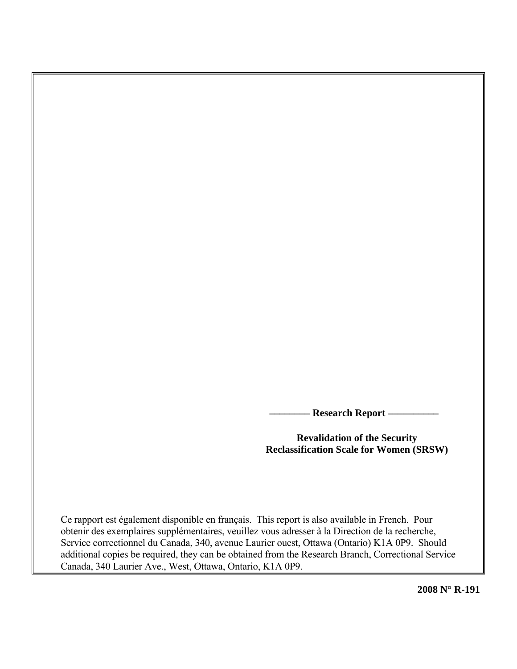**Research Report —** 

**Revalidation of the Security Reclassification Scale for Women (SRSW)** 

Ce rapport est également disponible en français. This report is also available in French. Pour obtenir des exemplaires supplémentaires, veuillez vous adresser à la Direction de la recherche, Service correctionnel du Canada, 340, avenue Laurier ouest, Ottawa (Ontario) K1A 0P9. Should additional copies be required, they can be obtained from the Research Branch, Correctional Service Canada, 340 Laurier Ave., West, Ottawa, Ontario, K1A 0P9.

**2008 N° R-191**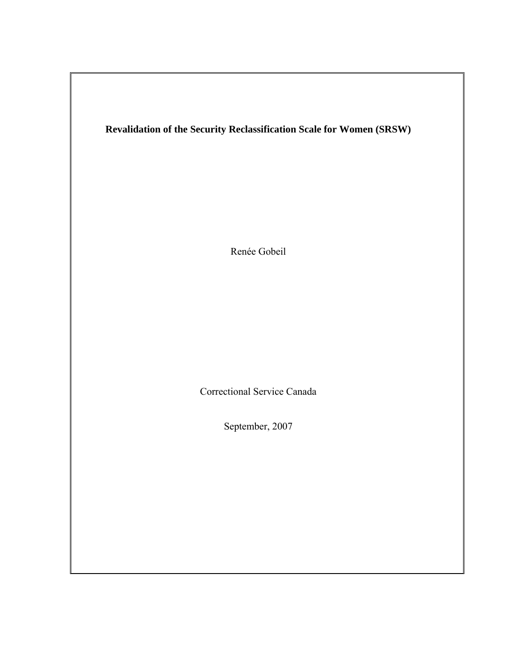# **Revalidation of the Security Reclassification Scale for Women (SRSW)**

Renée Gobeil

Correctional Service Canada

September, 2007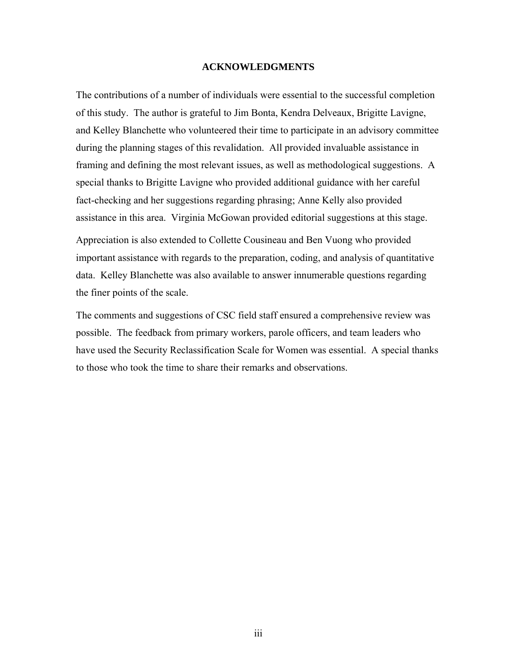#### **ACKNOWLEDGMENTS**

<span id="page-2-0"></span>The contributions of a number of individuals were essential to the successful completion of this study. The author is grateful to Jim Bonta, Kendra Delveaux, Brigitte Lavigne, and Kelley Blanchette who volunteered their time to participate in an advisory committee during the planning stages of this revalidation. All provided invaluable assistance in framing and defining the most relevant issues, as well as methodological suggestions. A special thanks to Brigitte Lavigne who provided additional guidance with her careful fact-checking and her suggestions regarding phrasing; Anne Kelly also provided assistance in this area. Virginia McGowan provided editorial suggestions at this stage.

Appreciation is also extended to Collette Cousineau and Ben Vuong who provided important assistance with regards to the preparation, coding, and analysis of quantitative data. Kelley Blanchette was also available to answer innumerable questions regarding the finer points of the scale.

The comments and suggestions of CSC field staff ensured a comprehensive review was possible. The feedback from primary workers, parole officers, and team leaders who have used the Security Reclassification Scale for Women was essential. A special thanks to those who took the time to share their remarks and observations.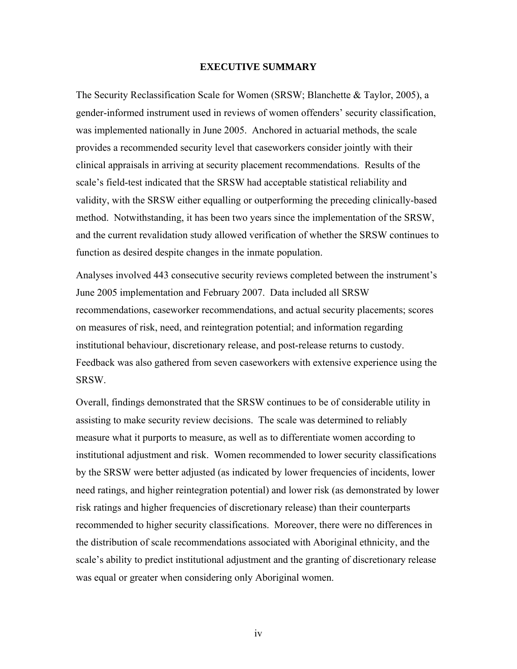#### **EXECUTIVE SUMMARY**

<span id="page-3-0"></span>The Security Reclassification Scale for Women (SRSW; Blanchette & Taylor, 2005), a gender-informed instrument used in reviews of women offenders' security classification, was implemented nationally in June 2005. Anchored in actuarial methods, the scale provides a recommended security level that caseworkers consider jointly with their clinical appraisals in arriving at security placement recommendations. Results of the scale's field-test indicated that the SRSW had acceptable statistical reliability and validity, with the SRSW either equalling or outperforming the preceding clinically-based method. Notwithstanding, it has been two years since the implementation of the SRSW, and the current revalidation study allowed verification of whether the SRSW continues to function as desired despite changes in the inmate population.

Analyses involved 443 consecutive security reviews completed between the instrument's June 2005 implementation and February 2007. Data included all SRSW recommendations, caseworker recommendations, and actual security placements; scores on measures of risk, need, and reintegration potential; and information regarding institutional behaviour, discretionary release, and post-release returns to custody. Feedback was also gathered from seven caseworkers with extensive experience using the SRSW.

Overall, findings demonstrated that the SRSW continues to be of considerable utility in assisting to make security review decisions. The scale was determined to reliably measure what it purports to measure, as well as to differentiate women according to institutional adjustment and risk. Women recommended to lower security classifications by the SRSW were better adjusted (as indicated by lower frequencies of incidents, lower need ratings, and higher reintegration potential) and lower risk (as demonstrated by lower risk ratings and higher frequencies of discretionary release) than their counterparts recommended to higher security classifications. Moreover, there were no differences in the distribution of scale recommendations associated with Aboriginal ethnicity, and the scale's ability to predict institutional adjustment and the granting of discretionary release was equal or greater when considering only Aboriginal women.

iv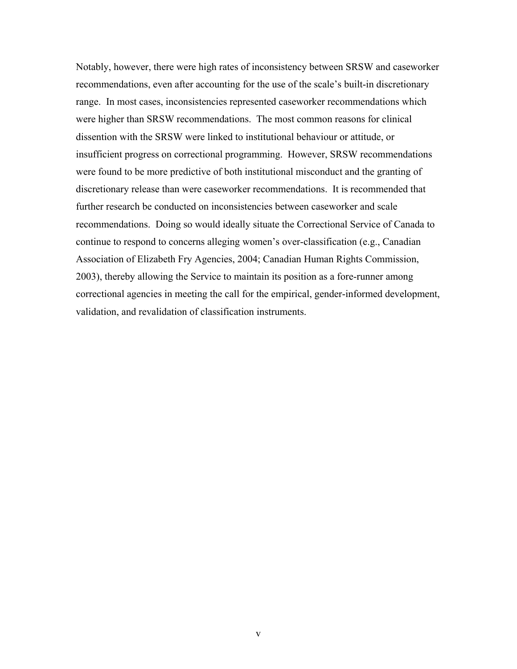Notably, however, there were high rates of inconsistency between SRSW and caseworker recommendations, even after accounting for the use of the scale's built-in discretionary range. In most cases, inconsistencies represented caseworker recommendations which were higher than SRSW recommendations. The most common reasons for clinical dissention with the SRSW were linked to institutional behaviour or attitude, or insufficient progress on correctional programming. However, SRSW recommendations were found to be more predictive of both institutional misconduct and the granting of discretionary release than were caseworker recommendations. It is recommended that further research be conducted on inconsistencies between caseworker and scale recommendations. Doing so would ideally situate the Correctional Service of Canada to continue to respond to concerns alleging women's over-classification (e.g., Canadian Association of Elizabeth Fry Agencies, 2004; Canadian Human Rights Commission, 2003), thereby allowing the Service to maintain its position as a fore-runner among correctional agencies in meeting the call for the empirical, gender-informed development, validation, and revalidation of classification instruments.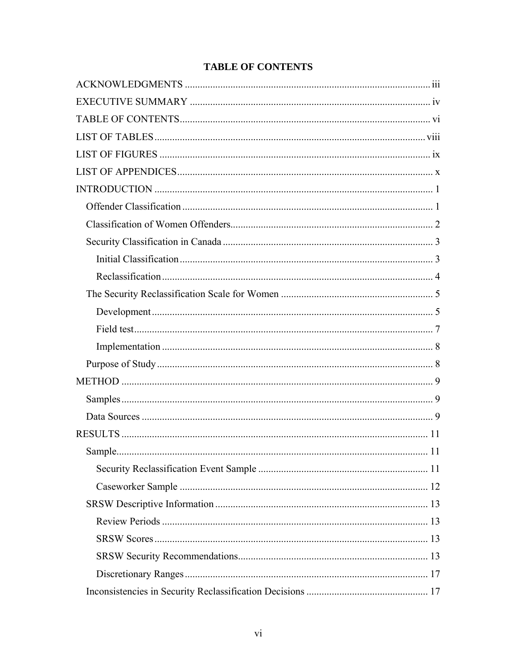<span id="page-5-0"></span>

# **TABLE OF CONTENTS**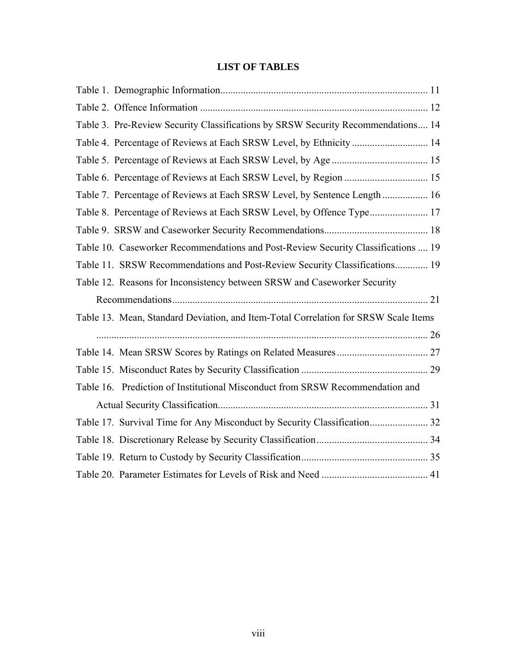# **LIST OF TABLES**

<span id="page-7-0"></span>

| Table 3. Pre-Review Security Classifications by SRSW Security Recommendations 14    |  |
|-------------------------------------------------------------------------------------|--|
| Table 4. Percentage of Reviews at Each SRSW Level, by Ethnicity  14                 |  |
|                                                                                     |  |
|                                                                                     |  |
| Table 7. Percentage of Reviews at Each SRSW Level, by Sentence Length  16           |  |
|                                                                                     |  |
|                                                                                     |  |
| Table 10. Caseworker Recommendations and Post-Review Security Classifications  19   |  |
| Table 11. SRSW Recommendations and Post-Review Security Classifications 19          |  |
| Table 12. Reasons for Inconsistency between SRSW and Caseworker Security            |  |
|                                                                                     |  |
| Table 13. Mean, Standard Deviation, and Item-Total Correlation for SRSW Scale Items |  |
|                                                                                     |  |
|                                                                                     |  |
|                                                                                     |  |
| Table 16. Prediction of Institutional Misconduct from SRSW Recommendation and       |  |
|                                                                                     |  |
|                                                                                     |  |
|                                                                                     |  |
|                                                                                     |  |
|                                                                                     |  |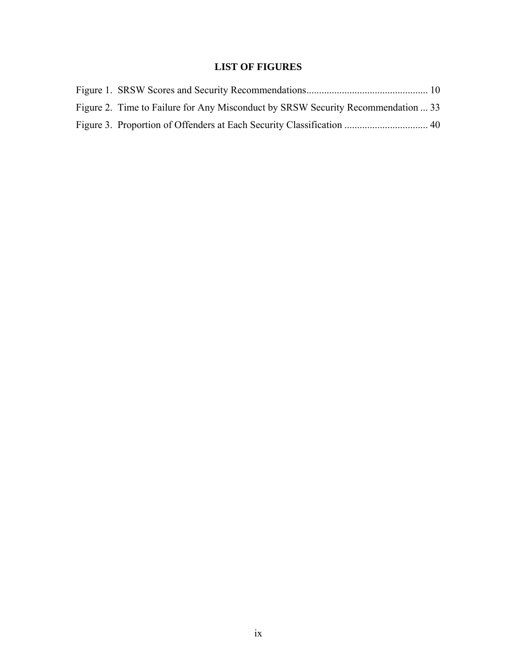# **LIST OF FIGURES**

<span id="page-8-0"></span>

| Figure 2. Time to Failure for Any Misconduct by SRSW Security Recommendation  33 |  |
|----------------------------------------------------------------------------------|--|
|                                                                                  |  |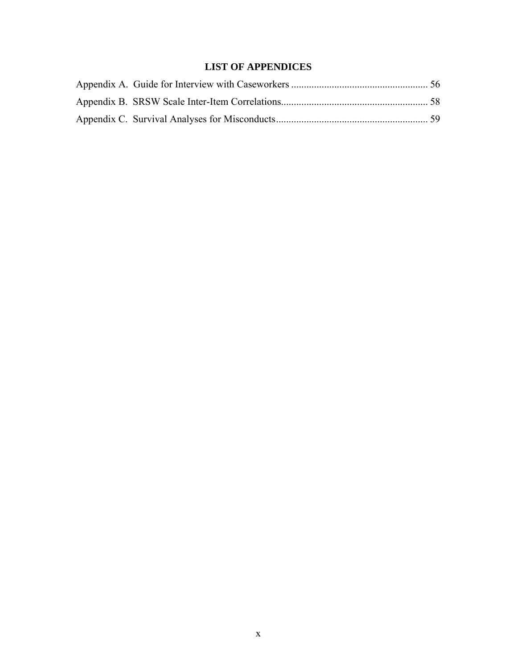# **LIST OF APPENDICES**

<span id="page-9-0"></span>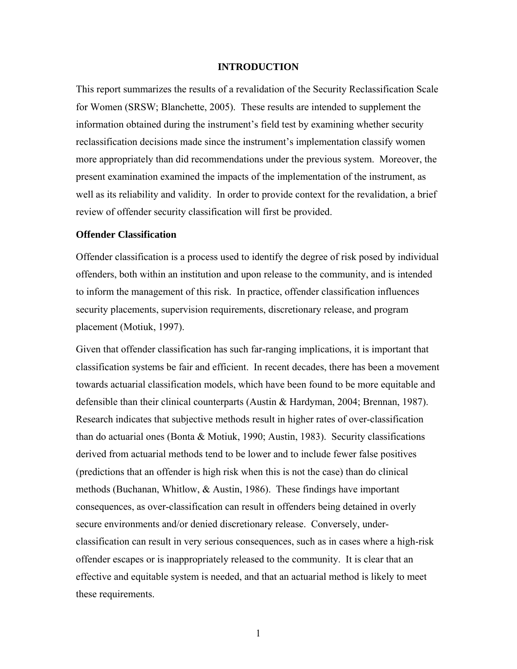#### **INTRODUCTION**

<span id="page-10-0"></span>This report summarizes the results of a revalidation of the Security Reclassification Scale for Women (SRSW; Blanchette, 2005). These results are intended to supplement the information obtained during the instrument's field test by examining whether security reclassification decisions made since the instrument's implementation classify women more appropriately than did recommendations under the previous system. Moreover, the present examination examined the impacts of the implementation of the instrument, as well as its reliability and validity. In order to provide context for the revalidation, a brief review of offender security classification will first be provided.

## **Offender Classification**

Offender classification is a process used to identify the degree of risk posed by individual offenders, both within an institution and upon release to the community, and is intended to inform the management of this risk. In practice, offender classification influences security placements, supervision requirements, discretionary release, and program placement (Motiuk, 1997).

Given that offender classification has such far-ranging implications, it is important that classification systems be fair and efficient. In recent decades, there has been a movement towards actuarial classification models, which have been found to be more equitable and defensible than their clinical counterparts (Austin & Hardyman, 2004; Brennan, 1987). Research indicates that subjective methods result in higher rates of over-classification than do actuarial ones (Bonta & Motiuk, 1990; Austin, 1983). Security classifications derived from actuarial methods tend to be lower and to include fewer false positives (predictions that an offender is high risk when this is not the case) than do clinical methods (Buchanan, Whitlow, & Austin, 1986). These findings have important consequences, as over-classification can result in offenders being detained in overly secure environments and/or denied discretionary release. Conversely, underclassification can result in very serious consequences, such as in cases where a high-risk offender escapes or is inappropriately released to the community. It is clear that an effective and equitable system is needed, and that an actuarial method is likely to meet these requirements.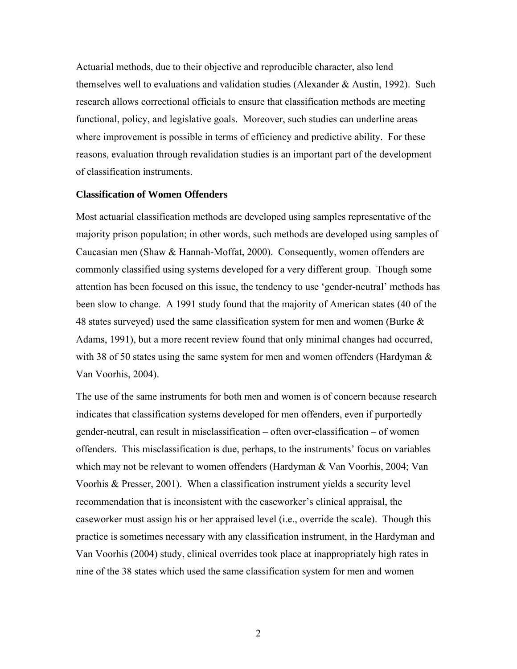<span id="page-11-0"></span>Actuarial methods, due to their objective and reproducible character, also lend themselves well to evaluations and validation studies (Alexander & Austin, 1992). Such research allows correctional officials to ensure that classification methods are meeting functional, policy, and legislative goals. Moreover, such studies can underline areas where improvement is possible in terms of efficiency and predictive ability. For these reasons, evaluation through revalidation studies is an important part of the development of classification instruments.

## **Classification of Women Offenders**

Most actuarial classification methods are developed using samples representative of the majority prison population; in other words, such methods are developed using samples of Caucasian men (Shaw & Hannah-Moffat, 2000). Consequently, women offenders are commonly classified using systems developed for a very different group. Though some attention has been focused on this issue, the tendency to use 'gender-neutral' methods has been slow to change. A 1991 study found that the majority of American states (40 of the 48 states surveyed) used the same classification system for men and women (Burke  $\&$ Adams, 1991), but a more recent review found that only minimal changes had occurred, with 38 of 50 states using the same system for men and women offenders (Hardyman  $\&$ Van Voorhis, 2004).

The use of the same instruments for both men and women is of concern because research indicates that classification systems developed for men offenders, even if purportedly gender-neutral, can result in misclassification – often over-classification – of women offenders. This misclassification is due, perhaps, to the instruments' focus on variables which may not be relevant to women offenders (Hardyman & Van Voorhis, 2004; Van Voorhis & Presser, 2001). When a classification instrument yields a security level recommendation that is inconsistent with the caseworker's clinical appraisal, the caseworker must assign his or her appraised level (i.e., override the scale). Though this practice is sometimes necessary with any classification instrument, in the Hardyman and Van Voorhis (2004) study, clinical overrides took place at inappropriately high rates in nine of the 38 states which used the same classification system for men and women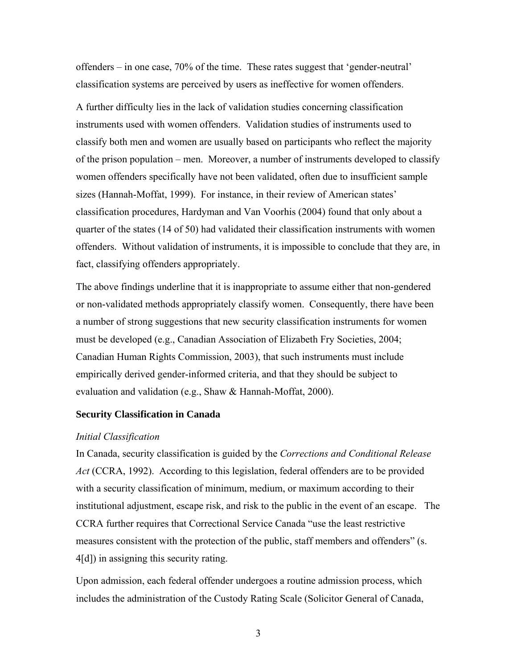<span id="page-12-0"></span>offenders – in one case, 70% of the time. These rates suggest that 'gender-neutral' classification systems are perceived by users as ineffective for women offenders.

A further difficulty lies in the lack of validation studies concerning classification instruments used with women offenders. Validation studies of instruments used to classify both men and women are usually based on participants who reflect the majority of the prison population – men. Moreover, a number of instruments developed to classify women offenders specifically have not been validated, often due to insufficient sample sizes (Hannah-Moffat, 1999). For instance, in their review of American states' classification procedures, Hardyman and Van Voorhis (2004) found that only about a quarter of the states (14 of 50) had validated their classification instruments with women offenders. Without validation of instruments, it is impossible to conclude that they are, in fact, classifying offenders appropriately.

The above findings underline that it is inappropriate to assume either that non-gendered or non-validated methods appropriately classify women. Consequently, there have been a number of strong suggestions that new security classification instruments for women must be developed (e.g., Canadian Association of Elizabeth Fry Societies, 2004; Canadian Human Rights Commission, 2003), that such instruments must include empirically derived gender-informed criteria, and that they should be subject to evaluation and validation (e.g., Shaw & Hannah-Moffat, 2000).

## **Security Classification in Canada**

#### *Initial Classification*

In Canada, security classification is guided by the *Corrections and Conditional Release Act* (CCRA, 1992). According to this legislation, federal offenders are to be provided with a security classification of minimum, medium, or maximum according to their institutional adjustment, escape risk, and risk to the public in the event of an escape. The CCRA further requires that Correctional Service Canada "use the least restrictive measures consistent with the protection of the public, staff members and offenders" (s. 4[d]) in assigning this security rating.

Upon admission, each federal offender undergoes a routine admission process, which includes the administration of the Custody Rating Scale (Solicitor General of Canada,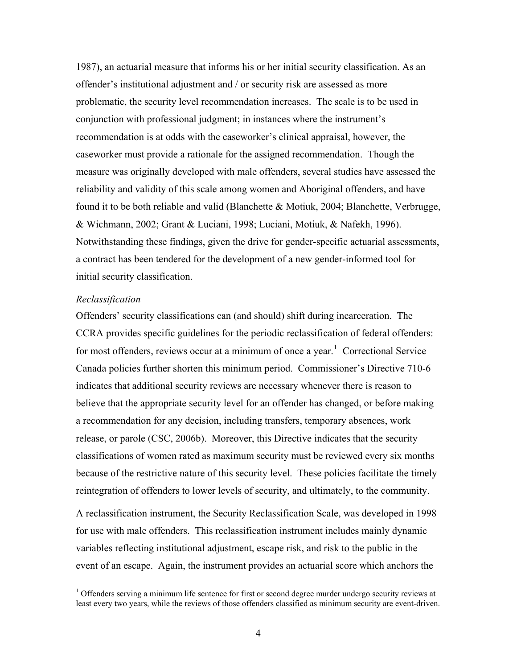<span id="page-13-0"></span>1987), an actuarial measure that informs his or her initial security classification. As an offender's institutional adjustment and / or security risk are assessed as more problematic, the security level recommendation increases. The scale is to be used in conjunction with professional judgment; in instances where the instrument's recommendation is at odds with the caseworker's clinical appraisal, however, the caseworker must provide a rationale for the assigned recommendation. Though the measure was originally developed with male offenders, several studies have assessed the reliability and validity of this scale among women and Aboriginal offenders, and have found it to be both reliable and valid (Blanchette & Motiuk, 2004; Blanchette, Verbrugge, & Wichmann, 2002; Grant & Luciani, 1998; Luciani, Motiuk, & Nafekh, 1996). Notwithstanding these findings, given the drive for gender-specific actuarial assessments, a contract has been tendered for the development of a new gender-informed tool for initial security classification.

#### *Reclassification*

 $\overline{a}$ 

Offenders' security classifications can (and should) shift during incarceration. The CCRA provides specific guidelines for the periodic reclassification of federal offenders: for most offenders, reviews occur at a minimum of once a year.<sup>[1](#page-13-0)</sup> Correctional Service Canada policies further shorten this minimum period. Commissioner's Directive 710-6 indicates that additional security reviews are necessary whenever there is reason to believe that the appropriate security level for an offender has changed, or before making a recommendation for any decision, including transfers, temporary absences, work release, or parole (CSC, 2006b). Moreover, this Directive indicates that the security classifications of women rated as maximum security must be reviewed every six months because of the restrictive nature of this security level. These policies facilitate the timely reintegration of offenders to lower levels of security, and ultimately, to the community.

A reclassification instrument, the Security Reclassification Scale, was developed in 1998 for use with male offenders. This reclassification instrument includes mainly dynamic variables reflecting institutional adjustment, escape risk, and risk to the public in the event of an escape. Again, the instrument provides an actuarial score which anchors the

<sup>&</sup>lt;sup>1</sup> Offenders serving a minimum life sentence for first or second degree murder undergo security reviews at least every two years, while the reviews of those offenders classified as minimum security are event-driven.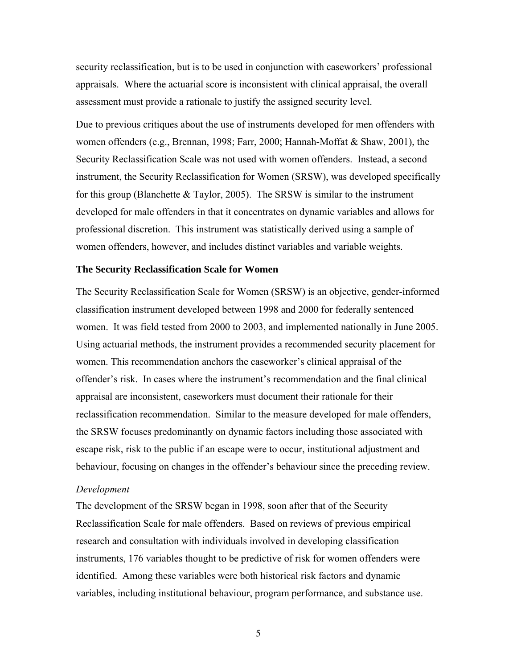<span id="page-14-0"></span>security reclassification, but is to be used in conjunction with caseworkers' professional appraisals. Where the actuarial score is inconsistent with clinical appraisal, the overall assessment must provide a rationale to justify the assigned security level.

Due to previous critiques about the use of instruments developed for men offenders with women offenders (e.g., Brennan, 1998; Farr, 2000; Hannah-Moffat & Shaw, 2001), the Security Reclassification Scale was not used with women offenders. Instead, a second instrument, the Security Reclassification for Women (SRSW), was developed specifically for this group (Blanchette & Taylor, 2005). The SRSW is similar to the instrument developed for male offenders in that it concentrates on dynamic variables and allows for professional discretion. This instrument was statistically derived using a sample of women offenders, however, and includes distinct variables and variable weights.

#### **The Security Reclassification Scale for Women**

The Security Reclassification Scale for Women (SRSW) is an objective, gender-informed classification instrument developed between 1998 and 2000 for federally sentenced women. It was field tested from 2000 to 2003, and implemented nationally in June 2005. Using actuarial methods, the instrument provides a recommended security placement for women. This recommendation anchors the caseworker's clinical appraisal of the offender's risk. In cases where the instrument's recommendation and the final clinical appraisal are inconsistent, caseworkers must document their rationale for their reclassification recommendation. Similar to the measure developed for male offenders, the SRSW focuses predominantly on dynamic factors including those associated with escape risk, risk to the public if an escape were to occur, institutional adjustment and behaviour, focusing on changes in the offender's behaviour since the preceding review.

## *Development*

The development of the SRSW began in 1998, soon after that of the Security Reclassification Scale for male offenders. Based on reviews of previous empirical research and consultation with individuals involved in developing classification instruments, 176 variables thought to be predictive of risk for women offenders were identified. Among these variables were both historical risk factors and dynamic variables, including institutional behaviour, program performance, and substance use.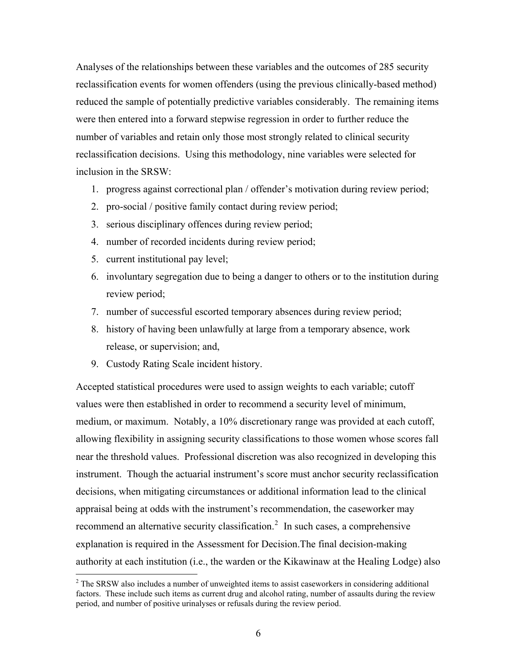<span id="page-15-0"></span>Analyses of the relationships between these variables and the outcomes of 285 security reclassification events for women offenders (using the previous clinically-based method) reduced the sample of potentially predictive variables considerably. The remaining items were then entered into a forward stepwise regression in order to further reduce the number of variables and retain only those most strongly related to clinical security reclassification decisions. Using this methodology, nine variables were selected for inclusion in the SRSW:

- 1. progress against correctional plan / offender's motivation during review period;
- 2. pro-social / positive family contact during review period;
- 3. serious disciplinary offences during review period;
- 4. number of recorded incidents during review period;
- 5. current institutional pay level;
- 6. involuntary segregation due to being a danger to others or to the institution during review period;
- 7. number of successful escorted temporary absences during review period;
- 8. history of having been unlawfully at large from a temporary absence, work release, or supervision; and,
- 9. Custody Rating Scale incident history.

 $\overline{a}$ 

Accepted statistical procedures were used to assign weights to each variable; cutoff values were then established in order to recommend a security level of minimum, medium, or maximum. Notably, a 10% discretionary range was provided at each cutoff, allowing flexibility in assigning security classifications to those women whose scores fall near the threshold values. Professional discretion was also recognized in developing this instrument. Though the actuarial instrument's score must anchor security reclassification decisions, when mitigating circumstances or additional information lead to the clinical appraisal being at odds with the instrument's recommendation, the caseworker may recommend an alternative security classification.<sup>[2](#page-15-0)</sup> In such cases, a comprehensive explanation is required in the Assessment for Decision.The final decision-making authority at each institution (i.e., the warden or the Kikawinaw at the Healing Lodge) also

 $2^2$  The SRSW also includes a number of unweighted items to assist caseworkers in considering additional factors. These include such items as current drug and alcohol rating, number of assaults during the review period, and number of positive urinalyses or refusals during the review period.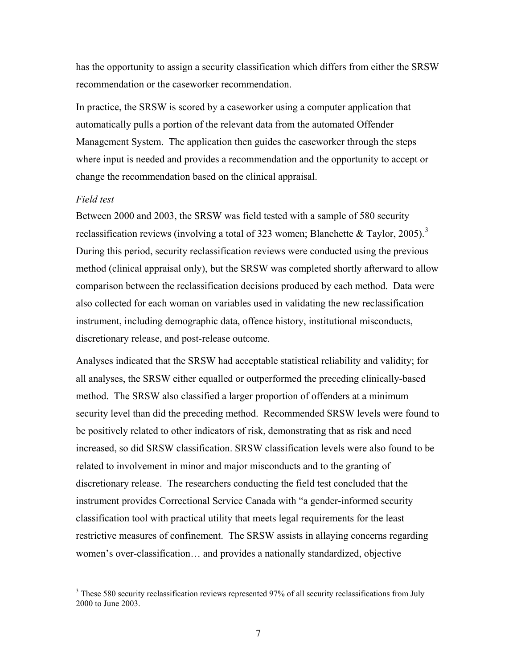<span id="page-16-0"></span>has the opportunity to assign a security classification which differs from either the SRSW recommendation or the caseworker recommendation.

In practice, the SRSW is scored by a caseworker using a computer application that automatically pulls a portion of the relevant data from the automated Offender Management System. The application then guides the caseworker through the steps where input is needed and provides a recommendation and the opportunity to accept or change the recommendation based on the clinical appraisal.

### *Field test*

 $\overline{a}$ 

Between 2000 and 2003, the SRSW was field tested with a sample of 580 security reclassification reviews (involving a total of [3](#page-16-0)23 women; Blanchette & Taylor, 2005).<sup>3</sup> During this period, security reclassification reviews were conducted using the previous method (clinical appraisal only), but the SRSW was completed shortly afterward to allow comparison between the reclassification decisions produced by each method. Data were also collected for each woman on variables used in validating the new reclassification instrument, including demographic data, offence history, institutional misconducts, discretionary release, and post-release outcome.

Analyses indicated that the SRSW had acceptable statistical reliability and validity; for all analyses, the SRSW either equalled or outperformed the preceding clinically-based method. The SRSW also classified a larger proportion of offenders at a minimum security level than did the preceding method. Recommended SRSW levels were found to be positively related to other indicators of risk, demonstrating that as risk and need increased, so did SRSW classification. SRSW classification levels were also found to be related to involvement in minor and major misconducts and to the granting of discretionary release. The researchers conducting the field test concluded that the instrument provides Correctional Service Canada with "a gender-informed security classification tool with practical utility that meets legal requirements for the least restrictive measures of confinement. The SRSW assists in allaying concerns regarding women's over-classification… and provides a nationally standardized, objective

 $3$  These 580 security reclassification reviews represented 97% of all security reclassifications from July 2000 to June 2003.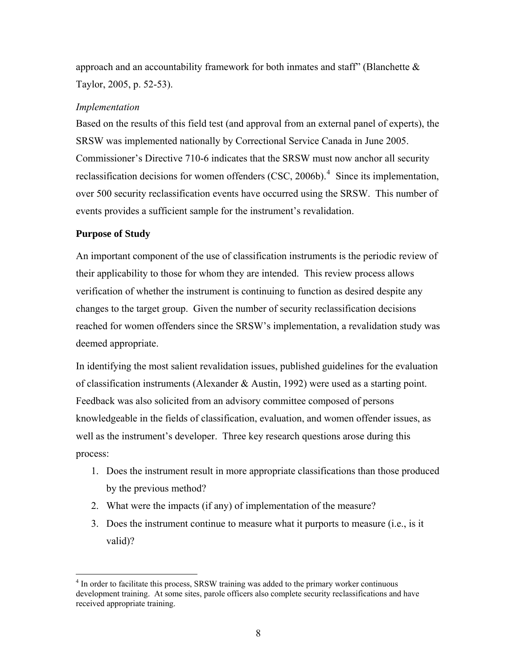<span id="page-17-0"></span>approach and an accountability framework for both inmates and staff' (Blanchette  $\&$ Taylor, 2005, p. 52-53).

# *Implementation*

Based on the results of this field test (and approval from an external panel of experts), the SRSW was implemented nationally by Correctional Service Canada in June 2005. Commissioner's Directive 710-6 indicates that the SRSW must now anchor all security reclassification decisions for women offenders (CSC, 2006b).<sup>[4](#page-17-0)</sup> Since its implementation, over 500 security reclassification events have occurred using the SRSW. This number of events provides a sufficient sample for the instrument's revalidation.

# **Purpose of Study**

An important component of the use of classification instruments is the periodic review of their applicability to those for whom they are intended. This review process allows verification of whether the instrument is continuing to function as desired despite any changes to the target group. Given the number of security reclassification decisions reached for women offenders since the SRSW's implementation, a revalidation study was deemed appropriate.

In identifying the most salient revalidation issues, published guidelines for the evaluation of classification instruments (Alexander & Austin, 1992) were used as a starting point. Feedback was also solicited from an advisory committee composed of persons knowledgeable in the fields of classification, evaluation, and women offender issues, as well as the instrument's developer. Three key research questions arose during this process:

- 1. Does the instrument result in more appropriate classifications than those produced by the previous method?
- 2. What were the impacts (if any) of implementation of the measure?
- 3. Does the instrument continue to measure what it purports to measure (i.e., is it valid)?

 $\overline{a}$ <sup>4</sup> In order to facilitate this process, SRSW training was added to the primary worker continuous development training. At some sites, parole officers also complete security reclassifications and have received appropriate training.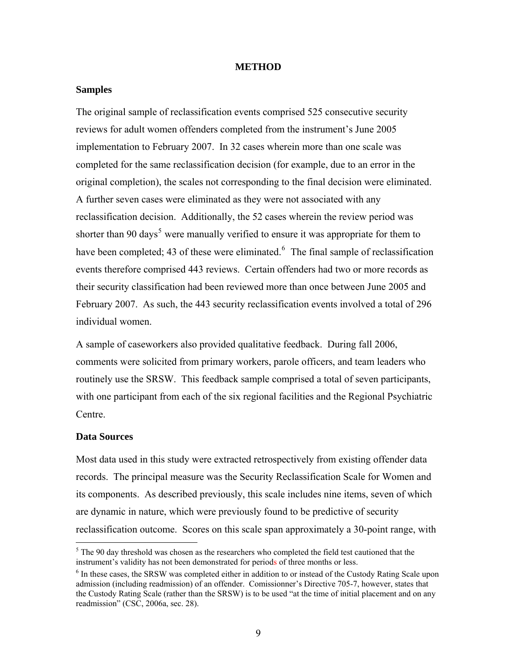#### **METHOD**

## <span id="page-18-0"></span>**Samples**

The original sample of reclassification events comprised 525 consecutive security reviews for adult women offenders completed from the instrument's June 2005 implementation to February 2007. In 32 cases wherein more than one scale was completed for the same reclassification decision (for example, due to an error in the original completion), the scales not corresponding to the final decision were eliminated. A further seven cases were eliminated as they were not associated with any reclassification decision. Additionally, the 52 cases wherein the review period was shorter than 90 days<sup>[5](#page-18-0)</sup> were manually verified to ensure it was appropriate for them to have been completed; 43 of these were eliminated. $6$  The final sample of reclassification events therefore comprised 443 reviews. Certain offenders had two or more records as their security classification had been reviewed more than once between June 2005 and February 2007. As such, the 443 security reclassification events involved a total of 296 individual women.

A sample of caseworkers also provided qualitative feedback. During fall 2006, comments were solicited from primary workers, parole officers, and team leaders who routinely use the SRSW. This feedback sample comprised a total of seven participants, with one participant from each of the six regional facilities and the Regional Psychiatric Centre.

## **Data Sources**

 $\overline{a}$ 

Most data used in this study were extracted retrospectively from existing offender data records. The principal measure was the Security Reclassification Scale for Women and its components. As described previously, this scale includes nine items, seven of which are dynamic in nature, which were previously found to be predictive of security reclassification outcome. Scores on this scale span approximately a 30-point range, with

 $<sup>5</sup>$  The 90 day threshold was chosen as the researchers who completed the field test cautioned that the</sup> instrument's validity has not been demonstrated for periods of three months or less. 6

 $<sup>6</sup>$  In these cases, the SRSW was completed either in addition to or instead of the Custody Rating Scale upon</sup> admission (including readmission) of an offender. Comissionner's Directive 705-7, however, states that the Custody Rating Scale (rather than the SRSW) is to be used "at the time of initial placement and on any readmission" (CSC, 2006a, sec. 28).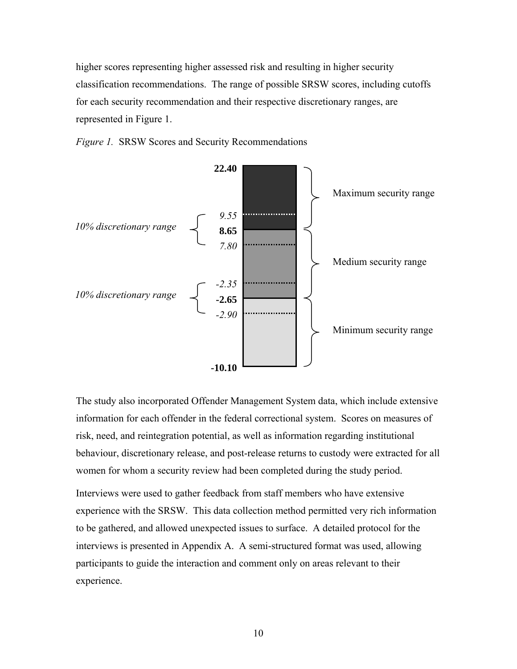<span id="page-19-0"></span>higher scores representing higher assessed risk and resulting in higher security classification recommendations. The range of possible SRSW scores, including cutoffs for each security recommendation and their respective discretionary ranges, are represented in Figure 1.





The study also incorporated Offender Management System data, which include extensive information for each offender in the federal correctional system. Scores on measures of risk, need, and reintegration potential, as well as information regarding institutional behaviour, discretionary release, and post-release returns to custody were extracted for all women for whom a security review had been completed during the study period.

Interviews were used to gather feedback from staff members who have extensive experience with the SRSW. This data collection method permitted very rich information to be gathered, and allowed unexpected issues to surface. A detailed protocol for the interviews is presented in Appendix A. A semi-structured format was used, allowing participants to guide the interaction and comment only on areas relevant to their experience.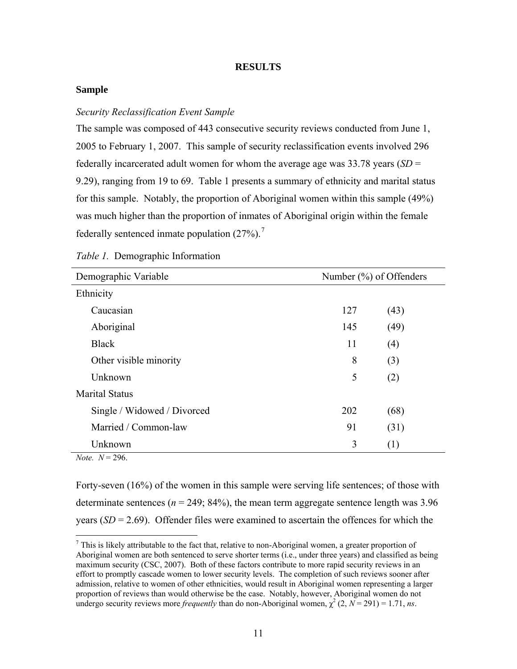## **RESULTS**

## <span id="page-20-0"></span>**Sample**

### *Security Reclassification Event Sample*

The sample was composed of 443 consecutive security reviews conducted from June 1, 2005 to February 1, 2007. This sample of security reclassification events involved 296 federally incarcerated adult women for whom the average age was 33.78 years (*SD* = 9.29), ranging from 19 to 69. Table 1 presents a summary of ethnicity and marital status for this sample. Notably, the proportion of Aboriginal women within this sample (49%) was much higher than the proportion of inmates of Aboriginal origin within the female federally sentenced inmate population  $(27\%)$  $(27\%)$  $(27\%)$ .<sup>7</sup>

| Demographic Variable        | Number $(\%)$ of Offenders |      |
|-----------------------------|----------------------------|------|
| Ethnicity                   |                            |      |
| Caucasian                   | 127                        | (43) |
| Aboriginal                  | 145                        | (49) |
| <b>Black</b>                | 11                         | (4)  |
| Other visible minority      | 8                          | (3)  |
| Unknown                     | 5                          | (2)  |
| <b>Marital Status</b>       |                            |      |
| Single / Widowed / Divorced | 202                        | (68) |
| Married / Common-law        | 91                         | (31) |
| Unknown                     | 3                          | (1)  |

|  | Table 1. Demographic Information |  |
|--|----------------------------------|--|
|--|----------------------------------|--|

 $Note: N = 296$ 

 $\overline{a}$ 

Forty-seven (16%) of the women in this sample were serving life sentences; of those with determinate sentences ( $n = 249$ ; 84%), the mean term aggregate sentence length was 3.96 years  $(SD = 2.69)$ . Offender files were examined to ascertain the offences for which the

 $<sup>7</sup>$  This is likely attributable to the fact that, relative to non-Aboriginal women, a greater proportion of</sup> Aboriginal women are both sentenced to serve shorter terms (i.e., under three years) and classified as being maximum security (CSC, 2007). Both of these factors contribute to more rapid security reviews in an effort to promptly cascade women to lower security levels. The completion of such reviews sooner after admission, relative to women of other ethnicities, would result in Aboriginal women representing a larger proportion of reviews than would otherwise be the case. Notably, however, Aboriginal women do not undergo security reviews more *frequently* than do non-Aboriginal women,  $\chi^2$  (2,  $N = 291$ ) = 1.71, *ns*.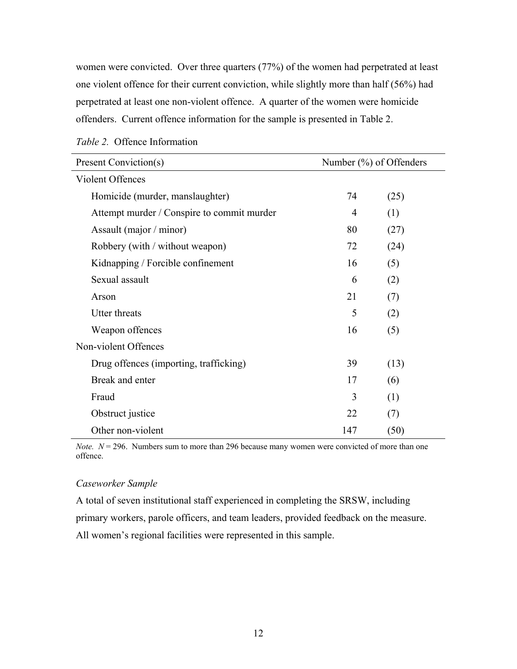<span id="page-21-0"></span>women were convicted. Over three quarters (77%) of the women had perpetrated at least one violent offence for their current conviction, while slightly more than half (56%) had perpetrated at least one non-violent offence. A quarter of the women were homicide offenders. Current offence information for the sample is presented in Table 2.

| Present Conviction(s)                      | Number (%) of Offenders |      |
|--------------------------------------------|-------------------------|------|
| Violent Offences                           |                         |      |
| Homicide (murder, manslaughter)            | 74                      | (25) |
| Attempt murder / Conspire to commit murder | $\overline{4}$          | (1)  |
| Assault (major / minor)                    | 80                      | (27) |
| Robbery (with / without weapon)            | 72                      | (24) |
| Kidnapping / Forcible confinement          | 16                      | (5)  |
| Sexual assault                             | 6                       | (2)  |
| Arson                                      | 21                      | (7)  |
| <b>Utter threats</b>                       | 5                       | (2)  |
| Weapon offences                            | 16                      | (5)  |
| Non-violent Offences                       |                         |      |
| Drug offences (importing, trafficking)     | 39                      | (13) |
| Break and enter                            | 17                      | (6)  |
| Fraud                                      | 3                       | (1)  |
| Obstruct justice                           | 22                      | (7)  |
| Other non-violent                          | 147                     | (50) |

*Note.*  $N = 296$ . Numbers sum to more than 296 because many women were convicted of more than one offence.

## *Caseworker Sample*

A total of seven institutional staff experienced in completing the SRSW, including primary workers, parole officers, and team leaders, provided feedback on the measure. All women's regional facilities were represented in this sample.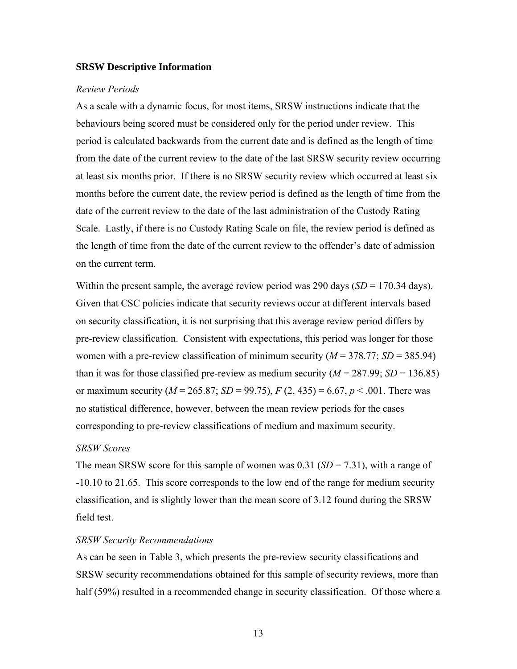#### <span id="page-22-0"></span>**SRSW Descriptive Information**

#### *Review Periods*

As a scale with a dynamic focus, for most items, SRSW instructions indicate that the behaviours being scored must be considered only for the period under review. This period is calculated backwards from the current date and is defined as the length of time from the date of the current review to the date of the last SRSW security review occurring at least six months prior. If there is no SRSW security review which occurred at least six months before the current date, the review period is defined as the length of time from the date of the current review to the date of the last administration of the Custody Rating Scale. Lastly, if there is no Custody Rating Scale on file, the review period is defined as the length of time from the date of the current review to the offender's date of admission on the current term.

Within the present sample, the average review period was  $290$  days  $(SD = 170.34$  days). Given that CSC policies indicate that security reviews occur at different intervals based on security classification, it is not surprising that this average review period differs by pre-review classification. Consistent with expectations, this period was longer for those women with a pre-review classification of minimum security  $(M = 378.77; SD = 385.94)$ than it was for those classified pre-review as medium security ( $M = 287.99$ ;  $SD = 136.85$ ) or maximum security ( $M = 265.87$ ;  $SD = 99.75$ ),  $F (2, 435) = 6.67$ ,  $p < .001$ . There was no statistical difference, however, between the mean review periods for the cases corresponding to pre-review classifications of medium and maximum security.

#### *SRSW Scores*

The mean SRSW score for this sample of women was 0.31 (*SD* = 7.31), with a range of -10.10 to 21.65.This score corresponds to the low end of the range for medium security classification, and is slightly lower than the mean score of 3.12 found during the SRSW field test.

#### *SRSW Security Recommendations*

As can be seen in Table 3, which presents the pre-review security classifications and SRSW security recommendations obtained for this sample of security reviews, more than half (59%) resulted in a recommended change in security classification. Of those where a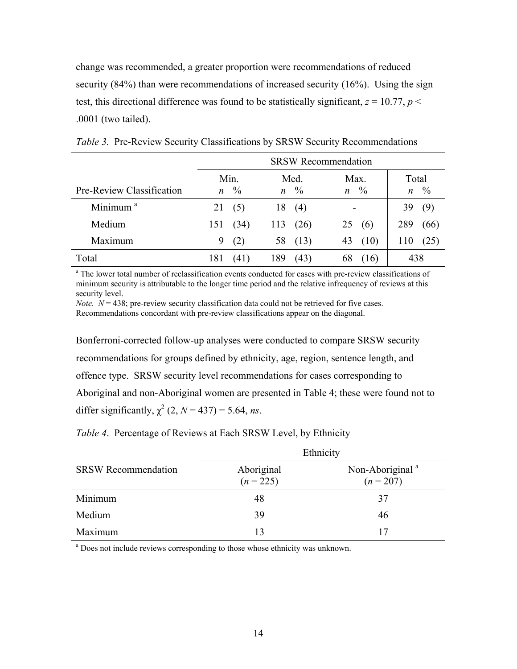<span id="page-23-0"></span>change was recommended, a greater proportion were recommendations of reduced security (84%) than were recommendations of increased security (16%). Using the sign test, this directional difference was found to be statistically significant,  $z = 10.77$ ,  $p <$ .0001 (two tailed).

|                           | <b>SRSW Recommendation</b> |                    |               |              |                                         |                     |
|---------------------------|----------------------------|--------------------|---------------|--------------|-----------------------------------------|---------------------|
| Pre-Review Classification |                            | Min.<br>$n \gamma$ | $\mathfrak n$ | Med.<br>$\%$ | Max.<br>$\frac{0}{0}$<br>$\mathfrak{n}$ | Total<br>$n \gamma$ |
| Minimum <sup>a</sup>      | 21                         | (5)                | 18            | (4)          | -                                       | 39<br>(9)           |
| Medium                    | 151                        | (34)               | 113           | (26)         | 25<br>(6)                               | 289<br>(66)         |
| Maximum                   | 9                          | (2)                | 58            | (13)         | (10)<br>43                              | (25)<br>110         |
| Total                     | 181                        | (41)               | 189           | (43)         | 68<br>(16)                              | 438                 |

*Table 3.* Pre-Review Security Classifications by SRSW Security Recommendations

<sup>a</sup> The lower total number of reclassification events conducted for cases with pre-review classifications of minimum security is attributable to the longer time period and the relative infrequency of reviews at this security level.

*Note.*  $N = 438$ ; pre-review security classification data could not be retrieved for five cases. Recommendations concordant with pre-review classifications appear on the diagonal.

Bonferroni-corrected follow-up analyses were conducted to compare SRSW security recommendations for groups defined by ethnicity, age, region, sentence length, and offence type. SRSW security level recommendations for cases corresponding to Aboriginal and non-Aboriginal women are presented in Table 4; these were found not to differ significantly,  $\chi^2$  (2, *N* = 437) = 5.64, *ns*.

|                            | Ethnicity                 |                                          |  |
|----------------------------|---------------------------|------------------------------------------|--|
| <b>SRSW Recommendation</b> | Aboriginal<br>$(n = 225)$ | Non-Aboriginal <sup>a</sup><br>$(n=207)$ |  |
| Minimum                    | 48                        | 37                                       |  |
| Medium                     | 39                        | 46                                       |  |
| Maximum                    | 13                        | 17                                       |  |

*Table 4*. Percentage of Reviews at Each SRSW Level, by Ethnicity

<sup>a</sup> Does not include reviews corresponding to those whose ethnicity was unknown.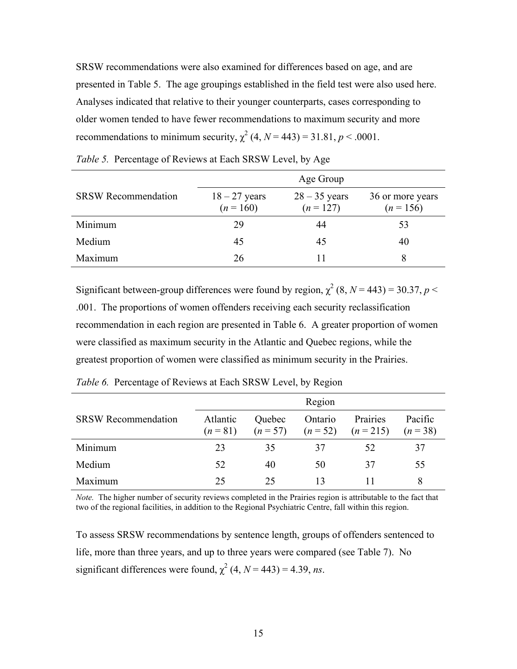<span id="page-24-0"></span>SRSW recommendations were also examined for differences based on age, and are presented in Table 5. The age groupings established in the field test were also used here. Analyses indicated that relative to their younger counterparts, cases corresponding to older women tended to have fewer recommendations to maximum security and more recommendations to minimum security,  $\chi^2$  (4,  $N = 443$ ) = 31.81,  $p < .0001$ .

|                            | Age Group                      |                                |                                 |  |
|----------------------------|--------------------------------|--------------------------------|---------------------------------|--|
| <b>SRSW</b> Recommendation | $18 - 27$ years<br>$(n = 160)$ | $28 - 35$ years<br>$(n = 127)$ | 36 or more years<br>$(n = 156)$ |  |
| Minimum                    | 29                             | 44                             | 53                              |  |
| Medium                     | 45                             | 45                             | 40                              |  |
| Maximum                    | 26                             |                                | 8                               |  |

*Table 5.* Percentage of Reviews at Each SRSW Level, by Age

Significant between-group differences were found by region,  $\chi^2$  (8, *N* = 443) = 30.37, *p* < .001. The proportions of women offenders receiving each security reclassification recommendation in each region are presented in Table 6. A greater proportion of women were classified as maximum security in the Atlantic and Quebec regions, while the greatest proportion of women were classified as minimum security in the Prairies.

|                            | Region   |        |         |                                                           |         |
|----------------------------|----------|--------|---------|-----------------------------------------------------------|---------|
| <b>SRSW</b> Recommendation | Atlantic | Quebec | Ontario | Prairies<br>$(n=81)$ $(n=57)$ $(n=52)$ $(n=215)$ $(n=38)$ | Pacific |
| Minimum                    | 23       | 35     | 37      | 52                                                        | 37      |
| Medium                     | 52       | 40     | 50      | 37                                                        | 55      |
| Maximum                    | 25       | 25     |         |                                                           |         |

*Table 6.* Percentage of Reviews at Each SRSW Level, by Region

*Note.* The higher number of security reviews completed in the Prairies region is attributable to the fact that two of the regional facilities, in addition to the Regional Psychiatric Centre, fall within this region.

To assess SRSW recommendations by sentence length, groups of offenders sentenced to life, more than three years, and up to three years were compared (see Table 7). No significant differences were found,  $\chi^2$  (4, *N* = 443) = 4.39, *ns*.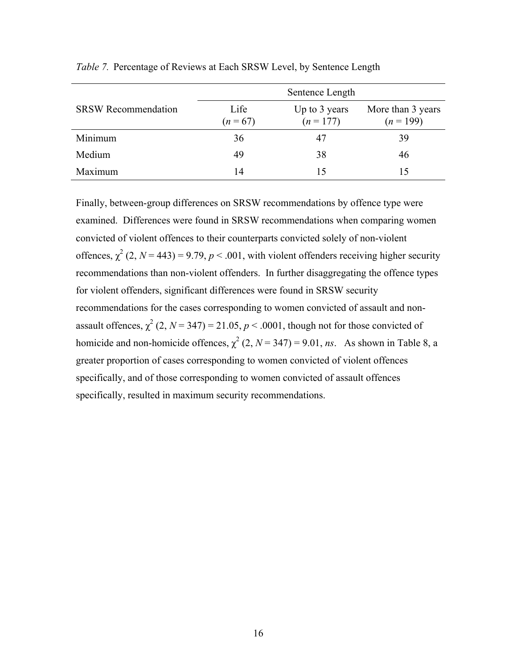|                            |                    | Sentence Length              |                                  |
|----------------------------|--------------------|------------------------------|----------------------------------|
| <b>SRSW Recommendation</b> | Life<br>$(n = 67)$ | Up to 3 years<br>$(n = 177)$ | More than 3 years<br>$(n = 199)$ |
| Minimum                    | 36                 | 47                           | 39                               |
| Medium                     | 49                 | 38                           | 46                               |
| Maximum                    | 14                 | 15                           | 15                               |

<span id="page-25-0"></span>*Table 7.*Percentage of Reviews at Each SRSW Level, by Sentence Length

Finally, between-group differences on SRSW recommendations by offence type were examined. Differences were found in SRSW recommendations when comparing women convicted of violent offences to their counterparts convicted solely of non-violent offences,  $\chi^2$  (2, *N* = 443) = 9.79, *p* < .001, with violent offenders receiving higher security recommendations than non-violent offenders. In further disaggregating the offence types for violent offenders, significant differences were found in SRSW security recommendations for the cases corresponding to women convicted of assault and nonassault offences,  $\chi^2$  (2, *N* = 347) = 21.05, *p* < .0001, though not for those convicted of homicide and non-homicide offences,  $\chi^2$  (2, *N* = 347) = 9.01, *ns*. As shown in Table 8, a greater proportion of cases corresponding to women convicted of violent offences specifically, and of those corresponding to women convicted of assault offences specifically, resulted in maximum security recommendations.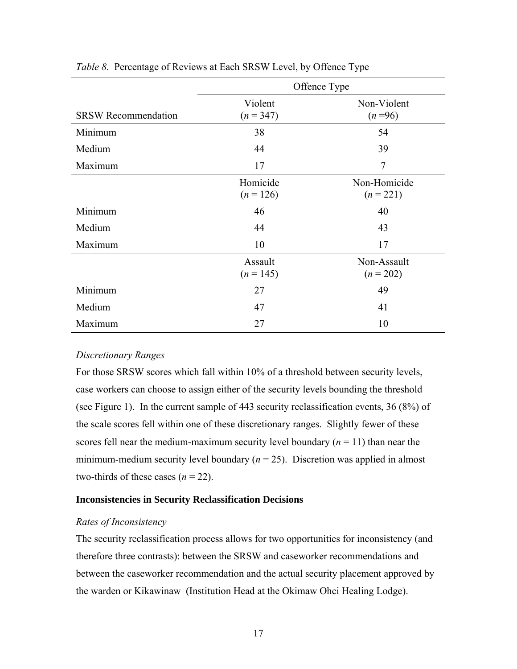|                            | Offence Type           |                             |  |  |
|----------------------------|------------------------|-----------------------------|--|--|
| <b>SRSW Recommendation</b> | Violent<br>$(n = 347)$ | Non-Violent<br>$(n=96)$     |  |  |
| Minimum                    | 38                     | 54                          |  |  |
| Medium                     | 44                     | 39                          |  |  |
| Maximum                    | 17                     | $\overline{7}$              |  |  |
|                            | Homicide<br>$(n=126)$  | Non-Homicide<br>$(n = 221)$ |  |  |
| Minimum                    | 46                     | 40                          |  |  |
| Medium                     | 44                     | 43                          |  |  |
| Maximum                    | 10                     | 17                          |  |  |
|                            | Assault<br>$(n = 145)$ | Non-Assault<br>$(n = 202)$  |  |  |
| Minimum                    | 27                     | 49                          |  |  |
| Medium                     | 47                     | 41                          |  |  |
| Maximum                    | 27                     | 10                          |  |  |

<span id="page-26-0"></span>*Table 8.* Percentage of Reviews at Each SRSW Level, by Offence Type

## *Discretionary Ranges*

For those SRSW scores which fall within 10% of a threshold between security levels, case workers can choose to assign either of the security levels bounding the threshold (see Figure 1). In the current sample of 443 security reclassification events, 36 (8%) of the scale scores fell within one of these discretionary ranges. Slightly fewer of these scores fell near the medium-maximum security level boundary  $(n = 11)$  than near the minimum-medium security level boundary  $(n = 25)$ . Discretion was applied in almost two-thirds of these cases  $(n = 22)$ .

#### **Inconsistencies in Security Reclassification Decisions**

#### *Rates of Inconsistency*

The security reclassification process allows for two opportunities for inconsistency (and therefore three contrasts): between the SRSW and caseworker recommendations and between the caseworker recommendation and the actual security placement approved by the warden or Kikawinaw (Institution Head at the Okimaw Ohci Healing Lodge).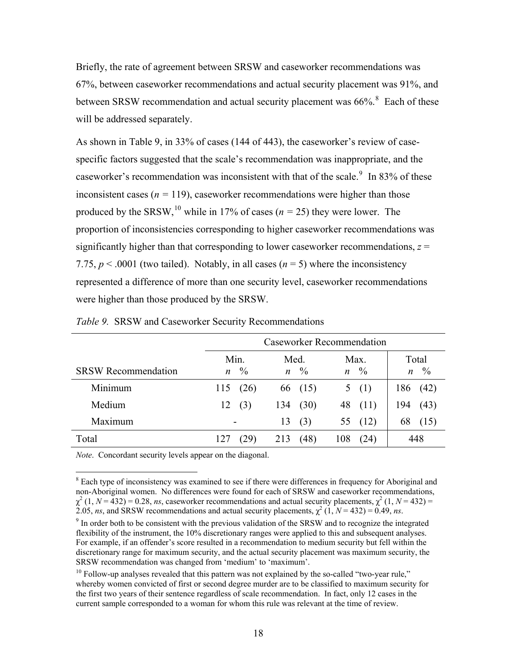<span id="page-27-0"></span>Briefly, the rate of agreement between SRSW and caseworker recommendations was 67%, between caseworker recommendations and actual security placement was 91%, and between SRSW recommendation and actual security placement was  $66\%$ <sup>[8](#page-27-0)</sup> Each of these will be addressed separately.

As shown in Table 9, in 33% of cases (144 of 443), the caseworker's review of casespecific factors suggested that the scale's recommendation was inappropriate, and the caseworker's recommendation was inconsistent with that of the scale.  $9\,$  $9\,$  In 83% of these inconsistent cases ( $n = 119$ ), caseworker recommendations were higher than those produced by the SRSW,<sup>[10](#page-27-0)</sup> while in 17% of cases ( $n = 25$ ) they were lower. The proportion of inconsistencies corresponding to higher caseworker recommendations was significantly higher than that corresponding to lower caseworker recommendations, *z* = 7.75,  $p < .0001$  (two tailed). Notably, in all cases ( $n = 5$ ) where the inconsistency represented a difference of more than one security level, caseworker recommendations were higher than those produced by the SRSW.

|                            | <b>Caseworker Recommendation</b> |               |                |               |                |               |                  |               |
|----------------------------|----------------------------------|---------------|----------------|---------------|----------------|---------------|------------------|---------------|
|                            | Min.                             |               |                | Med.<br>Max.  |                |               |                  | Total         |
| <b>SRSW Recommendation</b> | $\mathfrak n$                    | $\frac{0}{0}$ | $\mathfrak{n}$ | $\frac{0}{0}$ | $\mathfrak{n}$ | $\frac{0}{0}$ | $\boldsymbol{n}$ | $\frac{0}{0}$ |
| Minimum                    | 115                              | (26)          |                | 66 (15)       | 5              | (1)           | 186              | (42)          |
| Medium                     | 12                               | (3)           | 134            | (30)          | 48             | (11)          | 194              | (43)          |
| Maximum                    | $\overline{\phantom{0}}$         |               | 13             | (3)           | 55             | (12)          | 68               | (15)          |
| Total                      |                                  | (29)          | 213            | (48)          | 108            | (24)          |                  | 448           |

*Table 9.* SRSW and Caseworker Security Recommendations

*Note*. Concordant security levels appear on the diagonal.

 $\overline{a}$ 

<sup>&</sup>lt;sup>8</sup> Each type of inconsistency was examined to see if there were differences in frequency for Aboriginal and non-Aboriginal women. No differences were found for each of SRSW and caseworker recommendations,  $\chi^2$  (1, *N* = 432) = 0.28, *ns*, caseworker recommendations and actual security placements,  $\chi^2$  (1, *N* = 432) = 2.05, *ns*, and SRSW recommendations and actual security placements,  $\chi^2$  (1,  $N = 432$ ) = 0.49, *ns*.

 $\degree$  In order both to be consistent with the previous validation of the SRSW and to recognize the integrated flexibility of the instrument, the 10% discretionary ranges were applied to this and subsequent analyses. For example, if an offender's score resulted in a recommendation to medium security but fell within the discretionary range for maximum security, and the actual security placement was maximum security, the SRSW recommendation was changed from 'medium' to 'maximum'.

 $10$  Follow-up analyses revealed that this pattern was not explained by the so-called "two-year rule," whereby women convicted of first or second degree murder are to be classified to maximum security for the first two years of their sentence regardless of scale recommendation. In fact, only 12 cases in the current sample corresponded to a woman for whom this rule was relevant at the time of review.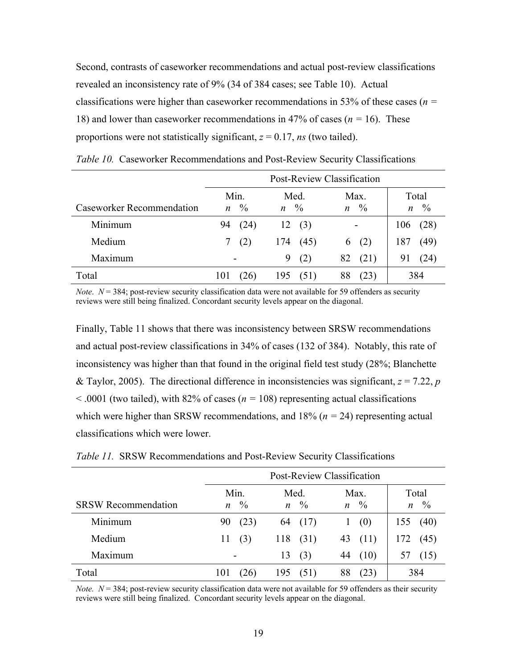<span id="page-28-0"></span>Second, contrasts of caseworker recommendations and actual post-review classifications revealed an inconsistency rate of 9% (34 of 384 cases; see Table 10). Actual classifications were higher than caseworker recommendations in 53% of these cases (*n =*  18) and lower than caseworker recommendations in 47% of cases (*n =* 16). These proportions were not statistically significant,  $z = 0.17$ , *ns* (two tailed).

|                           | Post-Review Classification    |                                |                          |             |  |
|---------------------------|-------------------------------|--------------------------------|--------------------------|-------------|--|
|                           | Min.                          | Med.                           | Max.                     | Total       |  |
| Caseworker Recommendation | $\frac{0}{0}$<br>$\mathbf{n}$ | $\frac{0}{0}$<br>$\mathfrak n$ | $\%$<br>$\boldsymbol{n}$ | $n \gamma$  |  |
| Minimum                   | 94<br>(24)                    | 12<br>(3)                      |                          | (28)<br>106 |  |
| Medium                    | (2)                           | 174<br>(45)                    | (2)<br>6                 | 187<br>(49) |  |
| Maximum                   | -                             | (2)<br>9                       | 82<br>(21)               | (24)<br>91  |  |
| Total                     | 101<br>26 I                   | 195<br>(51)                    | 88<br>(23)               | 384         |  |

*Table 10.* Caseworker Recommendations and Post-Review Security Classifications

*Note.*  $N = 384$ ; post-review security classification data were not available for 59 offenders as security reviews were still being finalized. Concordant security levels appear on the diagonal.

Finally, Table 11 shows that there was inconsistency between SRSW recommendations and actual post-review classifications in 34% of cases (132 of 384). Notably, this rate of inconsistency was higher than that found in the original field test study (28%; Blanchette & Taylor, 2005). The directional difference in inconsistencies was significant,  $z = 7.22$ , *p* < .0001 (two tailed), with 82% of cases (*n =* 108) representing actual classifications which were higher than SRSW recommendations, and 18% (*n =* 24) representing actual classifications which were lower.

|                            |                          | Post-Review Classification |      |                           |               |                     |     |                     |
|----------------------------|--------------------------|----------------------------|------|---------------------------|---------------|---------------------|-----|---------------------|
| <b>SRSW Recommendation</b> | $\mathfrak n$            | Min.<br>$\frac{0}{0}$      | Med. | $n \sqrt[0]{\phantom{0}}$ | $\mathfrak n$ | Max.<br>$^{0}/_{0}$ |     | Total<br>$n \gamma$ |
| Minimum                    | 90                       | (23)                       | 64   | (17)                      | 1             | (0)                 | 155 | (40)                |
| Medium                     | 11                       | (3)                        | 118  | (31)                      | 43            | (11)                | 172 | (45)                |
| Maximum                    | $\overline{\phantom{a}}$ |                            | 13   | (3)                       | 44            | (10)                |     | (15)                |
| Total                      | 101                      | [26]                       | 195  | (51)                      | 88            | (23)                |     | 384                 |

*Table 11.* SRSW Recommendations and Post-Review Security Classifications

*Note.*  $N = 384$ ; post-review security classification data were not available for 59 offenders as their security reviews were still being finalized. Concordant security levels appear on the diagonal.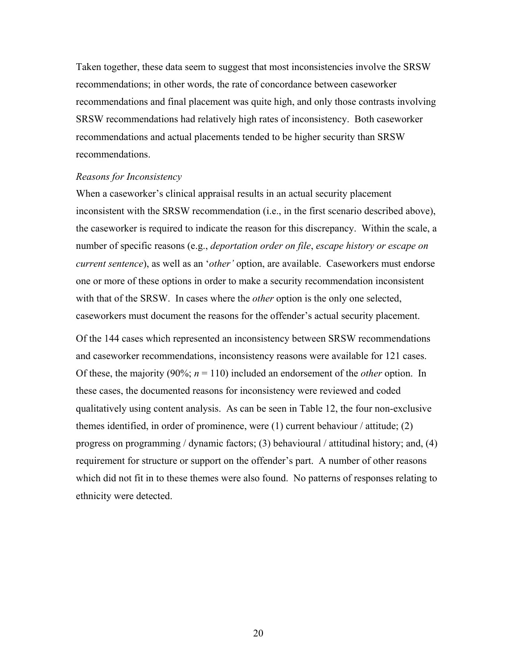<span id="page-29-0"></span>Taken together, these data seem to suggest that most inconsistencies involve the SRSW recommendations; in other words, the rate of concordance between caseworker recommendations and final placement was quite high, and only those contrasts involving SRSW recommendations had relatively high rates of inconsistency. Both caseworker recommendations and actual placements tended to be higher security than SRSW recommendations.

#### *Reasons for Inconsistency*

When a caseworker's clinical appraisal results in an actual security placement inconsistent with the SRSW recommendation (i.e., in the first scenario described above), the caseworker is required to indicate the reason for this discrepancy. Within the scale, a number of specific reasons (e.g., *deportation order on file*, *escape history or escape on current sentence*), as well as an '*other'* option, are available. Caseworkers must endorse one or more of these options in order to make a security recommendation inconsistent with that of the SRSW. In cases where the *other* option is the only one selected, caseworkers must document the reasons for the offender's actual security placement.

Of the 144 cases which represented an inconsistency between SRSW recommendations and caseworker recommendations, inconsistency reasons were available for 121 cases. Of these, the majority (90%; *n* = 110) included an endorsement of the *other* option. In these cases, the documented reasons for inconsistency were reviewed and coded qualitatively using content analysis. As can be seen in Table 12, the four non-exclusive themes identified, in order of prominence, were (1) current behaviour / attitude; (2) progress on programming / dynamic factors; (3) behavioural / attitudinal history; and, (4) requirement for structure or support on the offender's part. A number of other reasons which did not fit in to these themes were also found. No patterns of responses relating to ethnicity were detected.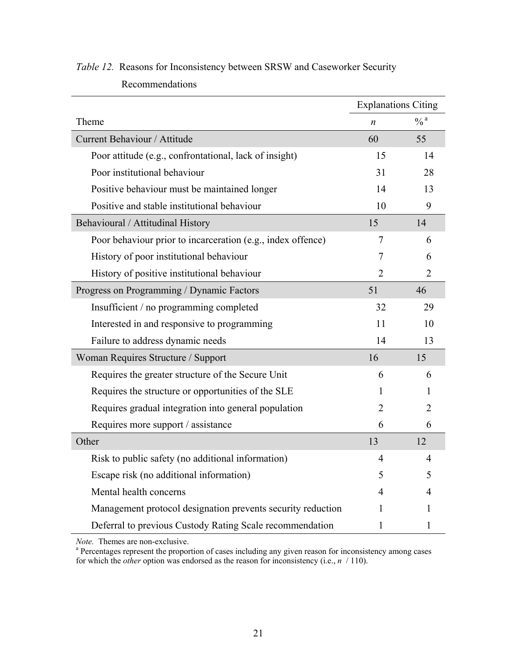|                                                             | <b>Explanations Citing</b> |                            |
|-------------------------------------------------------------|----------------------------|----------------------------|
| Theme                                                       | n                          | $\frac{0}{6}$ <sup>a</sup> |
| Current Behaviour / Attitude                                | 60                         | 55                         |
| Poor attitude (e.g., confrontational, lack of insight)      | 15                         | 14                         |
| Poor institutional behaviour                                | 31                         | 28                         |
| Positive behaviour must be maintained longer                | 14                         | 13                         |
| Positive and stable institutional behaviour                 | 10                         | 9                          |
| Behavioural / Attitudinal History                           | 15                         | 14                         |
| Poor behaviour prior to incarceration (e.g., index offence) | 7                          | 6                          |
| History of poor institutional behaviour                     | 7                          | 6                          |
| History of positive institutional behaviour                 | $\overline{2}$             | $\overline{2}$             |
| Progress on Programming / Dynamic Factors                   | 51                         | 46                         |
| Insufficient / no programming completed                     | 32                         | 29                         |
| Interested in and responsive to programming                 | 11                         | 10                         |
| Failure to address dynamic needs                            | 14                         | 13                         |
| Woman Requires Structure / Support                          | 16                         | 15                         |
| Requires the greater structure of the Secure Unit           | 6                          | 6                          |
| Requires the structure or opportunities of the SLE          | 1                          | 1                          |
| Requires gradual integration into general population        | $\overline{2}$             | $\overline{2}$             |
| Requires more support / assistance                          | 6                          | 6                          |
| Other                                                       | 13                         | 12                         |
| Risk to public safety (no additional information)           | 4                          | 4                          |
| Escape risk (no additional information)                     | 5                          | 5                          |
| Mental health concerns                                      | 4                          | 4                          |
| Management protocol designation prevents security reduction | 1                          | 1                          |
| Deferral to previous Custody Rating Scale recommendation    | 1                          | 1                          |

<span id="page-30-0"></span>*Table 12.* Reasons for Inconsistency between SRSW and Caseworker Security Recommendations

*Note.* Themes are non-exclusive.

<sup>a</sup> Percentages represent the proportion of cases including any given reason for inconsistency among cases for which the *other* option was endorsed as the reason for inconsistency (i.e., *n* / 110).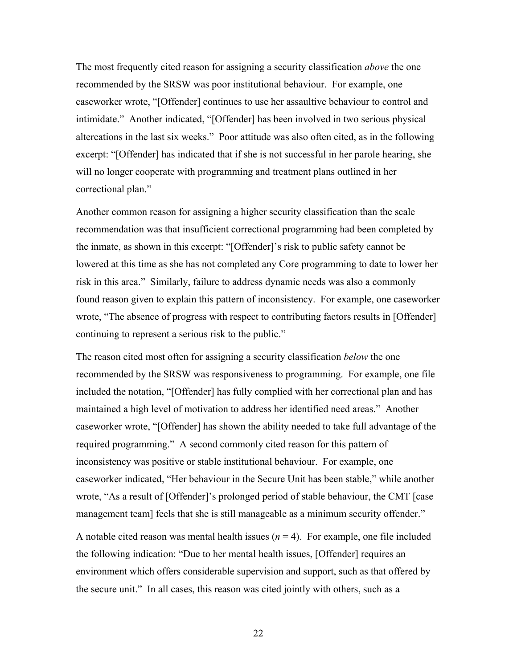The most frequently cited reason for assigning a security classification *above* the one recommended by the SRSW was poor institutional behaviour. For example, one caseworker wrote, "[Offender] continues to use her assaultive behaviour to control and intimidate." Another indicated, "[Offender] has been involved in two serious physical altercations in the last six weeks." Poor attitude was also often cited, as in the following excerpt: "[Offender] has indicated that if she is not successful in her parole hearing, she will no longer cooperate with programming and treatment plans outlined in her correctional plan."

Another common reason for assigning a higher security classification than the scale recommendation was that insufficient correctional programming had been completed by the inmate, as shown in this excerpt: "[Offender]'s risk to public safety cannot be lowered at this time as she has not completed any Core programming to date to lower her risk in this area." Similarly, failure to address dynamic needs was also a commonly found reason given to explain this pattern of inconsistency. For example, one caseworker wrote, "The absence of progress with respect to contributing factors results in [Offender] continuing to represent a serious risk to the public."

The reason cited most often for assigning a security classification *below* the one recommended by the SRSW was responsiveness to programming. For example, one file included the notation, "[Offender] has fully complied with her correctional plan and has maintained a high level of motivation to address her identified need areas." Another caseworker wrote, "[Offender] has shown the ability needed to take full advantage of the required programming." A second commonly cited reason for this pattern of inconsistency was positive or stable institutional behaviour. For example, one caseworker indicated, "Her behaviour in the Secure Unit has been stable," while another wrote, "As a result of [Offender]'s prolonged period of stable behaviour, the CMT [case management team] feels that she is still manageable as a minimum security offender."

A notable cited reason was mental health issues  $(n = 4)$ . For example, one file included the following indication: "Due to her mental health issues, [Offender] requires an environment which offers considerable supervision and support, such as that offered by the secure unit." In all cases, this reason was cited jointly with others, such as a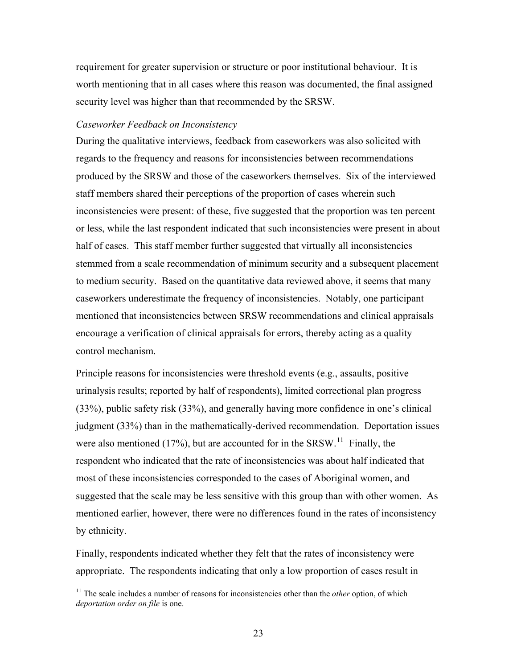<span id="page-32-0"></span>requirement for greater supervision or structure or poor institutional behaviour. It is worth mentioning that in all cases where this reason was documented, the final assigned security level was higher than that recommended by the SRSW.

### *Caseworker Feedback on Inconsistency*

During the qualitative interviews, feedback from caseworkers was also solicited with regards to the frequency and reasons for inconsistencies between recommendations produced by the SRSW and those of the caseworkers themselves. Six of the interviewed staff members shared their perceptions of the proportion of cases wherein such inconsistencies were present: of these, five suggested that the proportion was ten percent or less, while the last respondent indicated that such inconsistencies were present in about half of cases. This staff member further suggested that virtually all inconsistencies stemmed from a scale recommendation of minimum security and a subsequent placement to medium security. Based on the quantitative data reviewed above, it seems that many caseworkers underestimate the frequency of inconsistencies. Notably, one participant mentioned that inconsistencies between SRSW recommendations and clinical appraisals encourage a verification of clinical appraisals for errors, thereby acting as a quality control mechanism.

Principle reasons for inconsistencies were threshold events (e.g., assaults, positive urinalysis results; reported by half of respondents), limited correctional plan progress (33%), public safety risk (33%), and generally having more confidence in one's clinical judgment (33%) than in the mathematically-derived recommendation. Deportation issues were also mentioned (17%), but are accounted for in the SRSW.<sup>[11](#page-32-0)</sup> Finally, the respondent who indicated that the rate of inconsistencies was about half indicated that most of these inconsistencies corresponded to the cases of Aboriginal women, and suggested that the scale may be less sensitive with this group than with other women. As mentioned earlier, however, there were no differences found in the rates of inconsistency by ethnicity.

Finally, respondents indicated whether they felt that the rates of inconsistency were appropriate. The respondents indicating that only a low proportion of cases result in

 $\overline{a}$ 

<sup>11</sup> The scale includes a number of reasons for inconsistencies other than the *other* option, of which *deportation order on file* is one.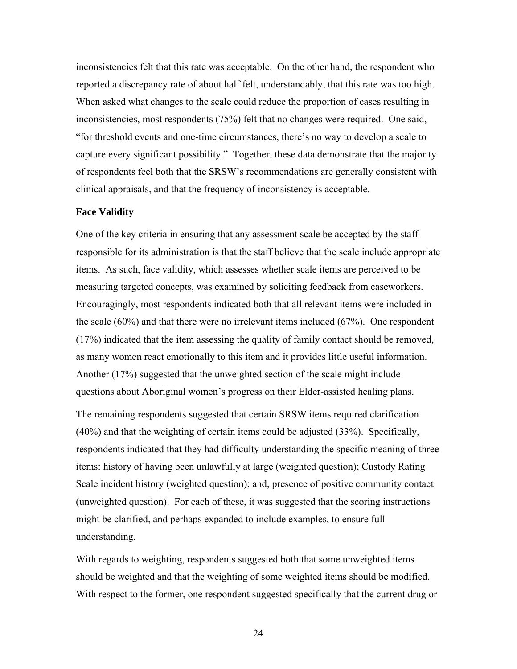<span id="page-33-0"></span>inconsistencies felt that this rate was acceptable. On the other hand, the respondent who reported a discrepancy rate of about half felt, understandably, that this rate was too high. When asked what changes to the scale could reduce the proportion of cases resulting in inconsistencies, most respondents (75%) felt that no changes were required. One said, "for threshold events and one-time circumstances, there's no way to develop a scale to capture every significant possibility." Together, these data demonstrate that the majority of respondents feel both that the SRSW's recommendations are generally consistent with clinical appraisals, and that the frequency of inconsistency is acceptable.

## **Face Validity**

One of the key criteria in ensuring that any assessment scale be accepted by the staff responsible for its administration is that the staff believe that the scale include appropriate items. As such, face validity, which assesses whether scale items are perceived to be measuring targeted concepts, was examined by soliciting feedback from caseworkers. Encouragingly, most respondents indicated both that all relevant items were included in the scale (60%) and that there were no irrelevant items included (67%). One respondent (17%) indicated that the item assessing the quality of family contact should be removed, as many women react emotionally to this item and it provides little useful information. Another (17%) suggested that the unweighted section of the scale might include questions about Aboriginal women's progress on their Elder-assisted healing plans.

The remaining respondents suggested that certain SRSW items required clarification (40%) and that the weighting of certain items could be adjusted (33%). Specifically, respondents indicated that they had difficulty understanding the specific meaning of three items: history of having been unlawfully at large (weighted question); Custody Rating Scale incident history (weighted question); and, presence of positive community contact (unweighted question). For each of these, it was suggested that the scoring instructions might be clarified, and perhaps expanded to include examples, to ensure full understanding.

With regards to weighting, respondents suggested both that some unweighted items should be weighted and that the weighting of some weighted items should be modified. With respect to the former, one respondent suggested specifically that the current drug or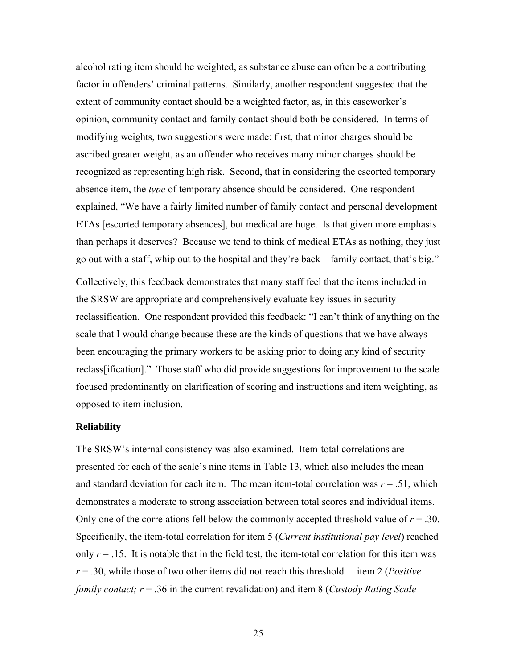<span id="page-34-0"></span>alcohol rating item should be weighted, as substance abuse can often be a contributing factor in offenders' criminal patterns. Similarly, another respondent suggested that the extent of community contact should be a weighted factor, as, in this caseworker's opinion, community contact and family contact should both be considered. In terms of modifying weights, two suggestions were made: first, that minor charges should be ascribed greater weight, as an offender who receives many minor charges should be recognized as representing high risk. Second, that in considering the escorted temporary absence item, the *type* of temporary absence should be considered. One respondent explained, "We have a fairly limited number of family contact and personal development ETAs [escorted temporary absences], but medical are huge. Is that given more emphasis than perhaps it deserves? Because we tend to think of medical ETAs as nothing, they just go out with a staff, whip out to the hospital and they're back – family contact, that's big."

Collectively, this feedback demonstrates that many staff feel that the items included in the SRSW are appropriate and comprehensively evaluate key issues in security reclassification. One respondent provided this feedback: "I can't think of anything on the scale that I would change because these are the kinds of questions that we have always been encouraging the primary workers to be asking prior to doing any kind of security reclass[ification]." Those staff who did provide suggestions for improvement to the scale focused predominantly on clarification of scoring and instructions and item weighting, as opposed to item inclusion.

#### **Reliability**

The SRSW's internal consistency was also examined. Item-total correlations are presented for each of the scale's nine items in Table 13, which also includes the mean and standard deviation for each item. The mean item-total correlation was  $r = .51$ , which demonstrates a moderate to strong association between total scores and individual items. Only one of the correlations fell below the commonly accepted threshold value of  $r = .30$ . Specifically, the item-total correlation for item 5 (*Current institutional pay level*) reached only  $r = 0.15$ . It is notable that in the field test, the item-total correlation for this item was *r* = .30, while those of two other items did not reach this threshold – item 2 (*Positive family contact; r* = .36 in the current revalidation) and item 8 (*Custody Rating Scale*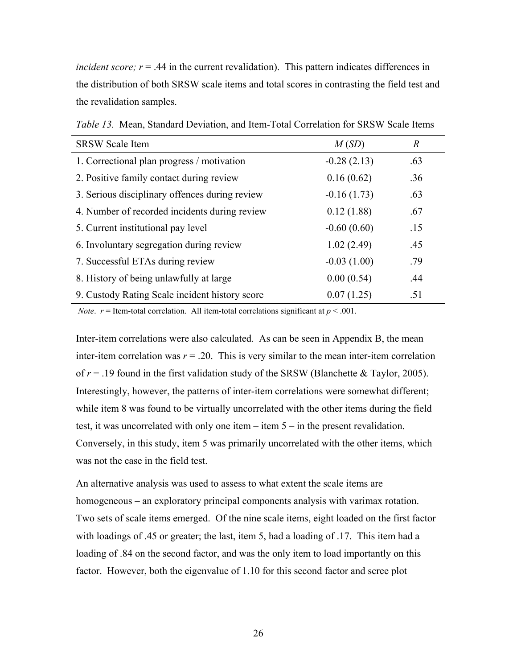<span id="page-35-0"></span>*incident score;*  $r = .44$  *in the current revalidation*). This pattern indicates differences in the distribution of both SRSW scale items and total scores in contrasting the field test and the revalidation samples.

| <b>SRSW Scale Item</b>                         | M(SD)         | $\boldsymbol{R}$ |
|------------------------------------------------|---------------|------------------|
| 1. Correctional plan progress / motivation     | $-0.28(2.13)$ | .63              |
| 2. Positive family contact during review       | 0.16(0.62)    | .36              |
| 3. Serious disciplinary offences during review | $-0.16(1.73)$ | .63              |
| 4. Number of recorded incidents during review  | 0.12(1.88)    | .67              |
| 5. Current institutional pay level             | $-0.60(0.60)$ | .15              |
| 6. Involuntary segregation during review       | 1.02(2.49)    | .45              |
| 7. Successful ETAs during review               | $-0.03(1.00)$ | .79              |
| 8. History of being unlawfully at large        | 0.00(0.54)    | .44              |
| 9. Custody Rating Scale incident history score | 0.07(1.25)    | .51              |

*Table 13.* Mean, Standard Deviation, and Item-Total Correlation for SRSW Scale Items

*Note.*  $r =$  Item-total correlation. All item-total correlations significant at  $p < .001$ .

Inter-item correlations were also calculated. As can be seen in Appendix B, the mean inter-item correlation was  $r = 0.20$ . This is very similar to the mean inter-item correlation of  $r = .19$  found in the first validation study of the SRSW (Blanchette & Taylor, 2005). Interestingly, however, the patterns of inter-item correlations were somewhat different; while item 8 was found to be virtually uncorrelated with the other items during the field test, it was uncorrelated with only one item  $-$  item  $5 -$  in the present revalidation. Conversely, in this study, item 5 was primarily uncorrelated with the other items, which was not the case in the field test.

An alternative analysis was used to assess to what extent the scale items are homogeneous – an exploratory principal components analysis with varimax rotation. Two sets of scale items emerged. Of the nine scale items, eight loaded on the first factor with loadings of .45 or greater; the last, item 5, had a loading of .17. This item had a loading of .84 on the second factor, and was the only item to load importantly on this factor. However, both the eigenvalue of 1.10 for this second factor and scree plot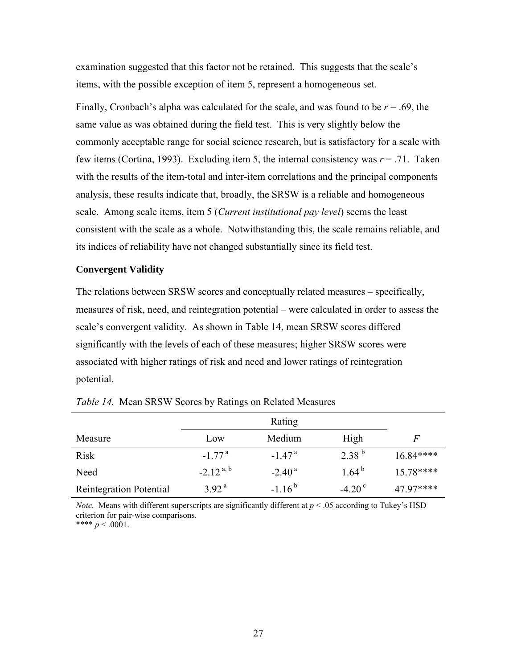<span id="page-36-0"></span>examination suggested that this factor not be retained. This suggests that the scale's items, with the possible exception of item 5, represent a homogeneous set.

Finally, Cronbach's alpha was calculated for the scale, and was found to be *r* = .69, the same value as was obtained during the field test. This is very slightly below the commonly acceptable range for social science research, but is satisfactory for a scale with few items (Cortina, 1993). Excluding item 5, the internal consistency was  $r = .71$ . Taken with the results of the item-total and inter-item correlations and the principal components analysis, these results indicate that, broadly, the SRSW is a reliable and homogeneous scale. Among scale items, item 5 (*Current institutional pay level*) seems the least consistent with the scale as a whole. Notwithstanding this, the scale remains reliable, and its indices of reliability have not changed substantially since its field test.

### **Convergent Validity**

The relations between SRSW scores and conceptually related measures – specifically, measures of risk, need, and reintegration potential – were calculated in order to assess the scale's convergent validity. As shown in Table 14, mean SRSW scores differed significantly with the levels of each of these measures; higher SRSW scores were associated with higher ratings of risk and need and lower ratings of reintegration potential.

| Measure                        | Low                  | Medium               | High            | F          |
|--------------------------------|----------------------|----------------------|-----------------|------------|
| <b>Risk</b>                    | $-1.77$ <sup>a</sup> | $-1.47$ <sup>a</sup> | $2.38^{b}$      | $16.84***$ |
| Need                           | $-2.12^{a, b}$       | $-2.40^{\text{a}}$   | $1.64^{b}$      | $15.78***$ |
| <b>Reintegration Potential</b> | 3.92 <sup>a</sup>    | $-1.16^{b}$          | $-4.20^{\circ}$ | 47.97****  |

*Note.* Means with different superscripts are significantly different at  $p < .05$  according to Tukey's HSD criterion for pair-wise comparisons. \*\*\*\*  $p < .0001$ .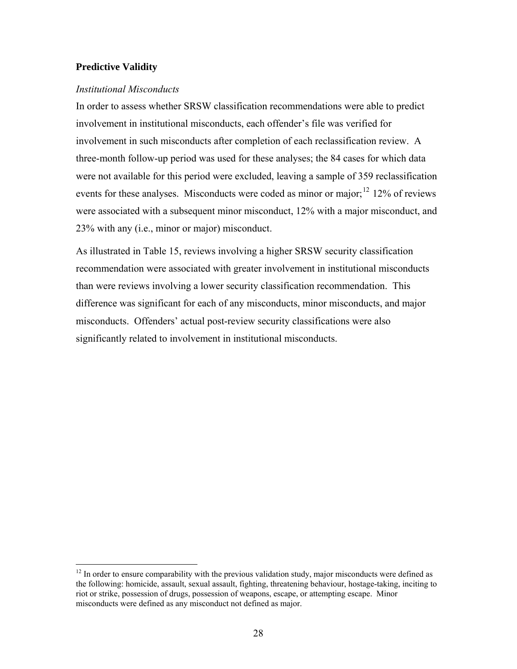## <span id="page-37-0"></span>**Predictive Validity**

 $\overline{a}$ 

## *Institutional Misconducts*

In order to assess whether SRSW classification recommendations were able to predict involvement in institutional misconducts, each offender's file was verified for involvement in such misconducts after completion of each reclassification review. A three-month follow-up period was used for these analyses; the 84 cases for which data were not available for this period were excluded, leaving a sample of 359 reclassification events for these analyses. Misconducts were coded as minor or major;<sup>[12](#page-37-0)</sup> 12% of reviews were associated with a subsequent minor misconduct, 12% with a major misconduct, and 23% with any (i.e., minor or major) misconduct.

As illustrated in Table 15, reviews involving a higher SRSW security classification recommendation were associated with greater involvement in institutional misconducts than were reviews involving a lower security classification recommendation. This difference was significant for each of any misconducts, minor misconducts, and major misconducts. Offenders' actual post-review security classifications were also significantly related to involvement in institutional misconducts.

 $12$  In order to ensure comparability with the previous validation study, major misconducts were defined as the following: homicide, assault, sexual assault, fighting, threatening behaviour, hostage-taking, inciting to riot or strike, possession of drugs, possession of weapons, escape, or attempting escape. Minor misconducts were defined as any misconduct not defined as major.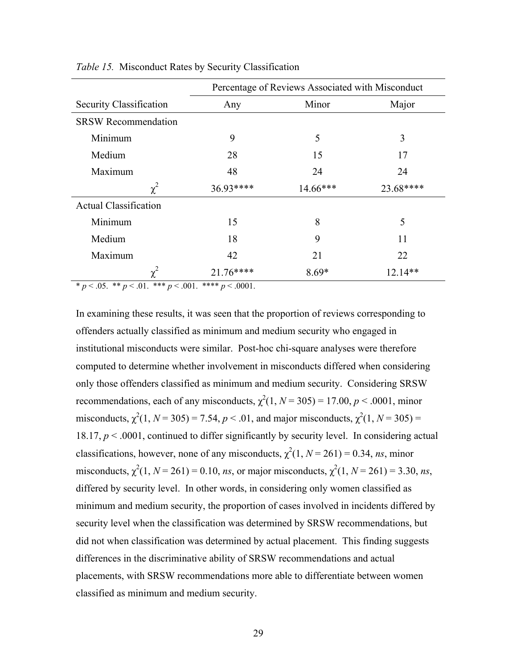|                                   | Percentage of Reviews Associated with Misconduct |            |           |  |  |  |
|-----------------------------------|--------------------------------------------------|------------|-----------|--|--|--|
| Security Classification           | Any                                              | Minor      | Major     |  |  |  |
| <b>SRSW Recommendation</b>        |                                                  |            |           |  |  |  |
| Minimum                           | 9                                                | 5          | 3         |  |  |  |
| Medium                            | 28                                               | 15         | 17        |  |  |  |
| Maximum                           | 48                                               | 24         | 24        |  |  |  |
| $\chi^2$                          | 36.93****                                        | $14.66***$ | 23.68**** |  |  |  |
| <b>Actual Classification</b>      |                                                  |            |           |  |  |  |
| Minimum                           | 15                                               | 8          | 5         |  |  |  |
| Medium                            | 18                                               | 9          | 11        |  |  |  |
| Maximum                           | 42                                               | 21         | 22        |  |  |  |
| $\chi^2$                          | $21.76***$                                       | $8.69*$    | 12.14**   |  |  |  |
| $*_{n}$ (15 ** n < 01 *** n < 001 | **** $n < 0001$                                  |            |           |  |  |  |

<span id="page-38-0"></span>*Table 15.* Misconduct Rates by Security Classification

\* *p* < .05. \*\* *p* < .01. \*\*\* *p* < .001. \*\*\*\* *p* < .0001.

In examining these results, it was seen that the proportion of reviews corresponding to offenders actually classified as minimum and medium security who engaged in institutional misconducts were similar. Post-hoc chi-square analyses were therefore computed to determine whether involvement in misconducts differed when considering only those offenders classified as minimum and medium security. Considering SRSW recommendations, each of any misconducts,  $\chi^2(1, N = 305) = 17.00, p < .0001$ , minor misconducts,  $\chi^2(1, N = 305) = 7.54$ ,  $p < .01$ , and major misconducts,  $\chi^2(1, N = 305) =$ 18.17,  $p < .0001$ , continued to differ significantly by security level. In considering actual classifications, however, none of any misconducts,  $\chi^2(1, N = 261) = 0.34$ , *ns*, minor misconducts,  $\chi^2(1, N = 261) = 0.10$ , *ns*, or major misconducts,  $\chi^2(1, N = 261) = 3.30$ , *ns*, differed by security level. In other words, in considering only women classified as minimum and medium security, the proportion of cases involved in incidents differed by security level when the classification was determined by SRSW recommendations, but did not when classification was determined by actual placement. This finding suggests differences in the discriminative ability of SRSW recommendations and actual placements, with SRSW recommendations more able to differentiate between women classified as minimum and medium security.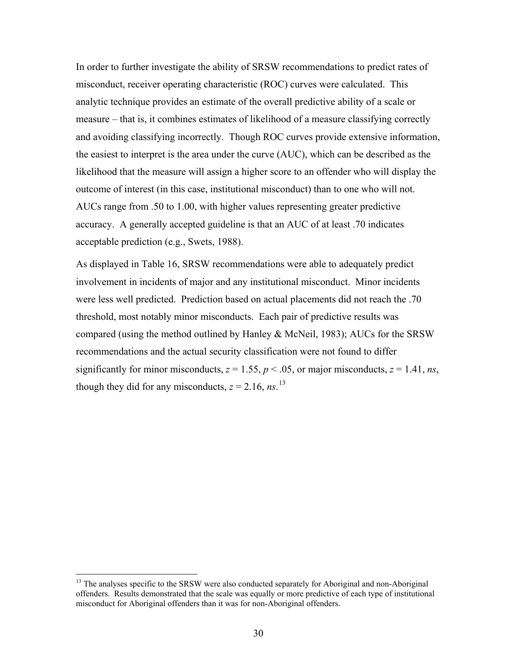<span id="page-39-0"></span>In order to further investigate the ability of SRSW recommendations to predict rates of misconduct, receiver operating characteristic (ROC) curves were calculated. This analytic technique provides an estimate of the overall predictive ability of a scale or measure – that is, it combines estimates of likelihood of a measure classifying correctly and avoiding classifying incorrectly. Though ROC curves provide extensive information, the easiest to interpret is the area under the curve (AUC), which can be described as the likelihood that the measure will assign a higher score to an offender who will display the outcome of interest (in this case, institutional misconduct) than to one who will not. AUCs range from .50 to 1.00, with higher values representing greater predictive accuracy. A generally accepted guideline is that an AUC of at least .70 indicates acceptable prediction (e.g., Swets, 1988).

As displayed in Table 16, SRSW recommendations were able to adequately predict involvement in incidents of major and any institutional misconduct. Minor incidents were less well predicted. Prediction based on actual placements did not reach the .70 threshold, most notably minor misconducts. Each pair of predictive results was compared (using the method outlined by Hanley & McNeil, 1983); AUCs for the SRSW recommendations and the actual security classification were not found to differ significantly for minor misconducts,  $z = 1.55$ ,  $p < .05$ , or major misconducts,  $z = 1.41$ , *ns*, though they did for any misconducts,  $z = 2.16$ ,  $ns$ .<sup>[13](#page-39-0)</sup>

 $\overline{a}$ 

<sup>&</sup>lt;sup>13</sup> The analyses specific to the SRSW were also conducted separately for Aboriginal and non-Aboriginal offenders. Results demonstrated that the scale was equally or more predictive of each type of institutional misconduct for Aboriginal offenders than it was for non-Aboriginal offenders.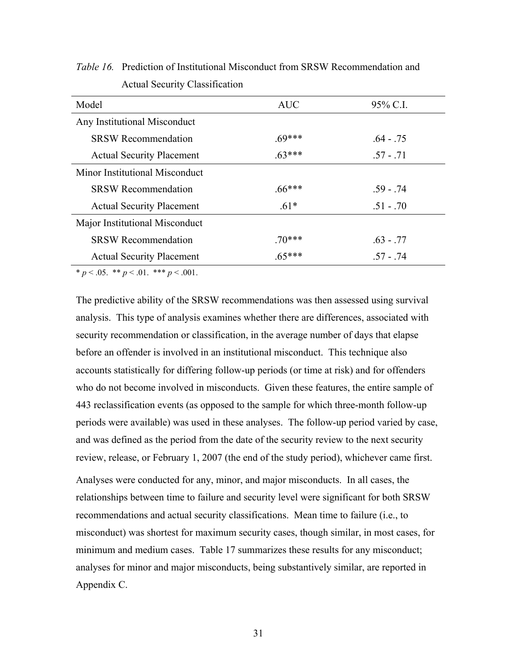| Model                            | <b>AUC</b> | 95% C.I.    |
|----------------------------------|------------|-------------|
| Any Institutional Misconduct     |            |             |
| <b>SRSW Recommendation</b>       | $.69***$   | $.64 - .75$ |
| <b>Actual Security Placement</b> | $63***$    | $.57 - .71$ |
| Minor Institutional Misconduct   |            |             |
| <b>SRSW Recommendation</b>       | $.66***$   | $.59 - .74$ |
| <b>Actual Security Placement</b> | $.61*$     | $.51 - .70$ |
| Major Institutional Misconduct   |            |             |
| <b>SRSW Recommendation</b>       | 70***      | $.63 - .77$ |
| <b>Actual Security Placement</b> | $.65***$   | $.57 - .74$ |
|                                  |            |             |

<span id="page-40-0"></span>*Table 16.* Prediction of Institutional Misconduct from SRSW Recommendation and Actual Security Classification

 $* p < .05.$  \*\*  $p < .01.$  \*\*\*  $p < .001.$ 

The predictive ability of the SRSW recommendations was then assessed using survival analysis. This type of analysis examines whether there are differences, associated with security recommendation or classification, in the average number of days that elapse before an offender is involved in an institutional misconduct. This technique also accounts statistically for differing follow-up periods (or time at risk) and for offenders who do not become involved in misconducts. Given these features, the entire sample of 443 reclassification events (as opposed to the sample for which three-month follow-up periods were available) was used in these analyses. The follow-up period varied by case, and was defined as the period from the date of the security review to the next security review, release, or February 1, 2007 (the end of the study period), whichever came first.

Analyses were conducted for any, minor, and major misconducts. In all cases, the relationships between time to failure and security level were significant for both SRSW recommendations and actual security classifications. Mean time to failure (i.e., to misconduct) was shortest for maximum security cases, though similar, in most cases, for minimum and medium cases. Table 17 summarizes these results for any misconduct; analyses for minor and major misconducts, being substantively similar, are reported in Appendix C.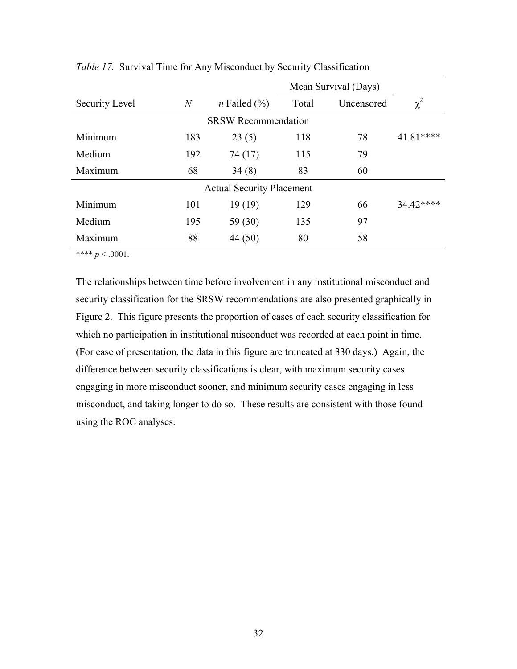|                |                            | Mean Survival (Days)             |       |            |           |  |
|----------------|----------------------------|----------------------------------|-------|------------|-----------|--|
| Security Level | $\overline{N}$             | <i>n</i> Failed $(\%)$           | Total | Uncensored | $\chi^2$  |  |
|                | <b>SRSW Recommendation</b> |                                  |       |            |           |  |
| Minimum        | 183                        | 23(5)                            | 118   | 78         | 41.81**** |  |
| Medium         | 192                        | 74 (17)                          | 115   | 79         |           |  |
| Maximum        | 68                         | 34(8)                            | 83    | 60         |           |  |
|                |                            | <b>Actual Security Placement</b> |       |            |           |  |
| Minimum        | 101                        | 19(19)                           | 129   | 66         | 34.42**** |  |
| Medium         | 195                        | 59 (30)                          | 135   | 97         |           |  |
| Maximum        | 88                         | 44 (50)                          | 80    | 58         |           |  |

<span id="page-41-0"></span>*Table 17.* Survival Time for Any Misconduct by Security Classification

\*\*\*\*  $p < .0001$ .

The relationships between time before involvement in any institutional misconduct and security classification for the SRSW recommendations are also presented graphically in Figure 2. This figure presents the proportion of cases of each security classification for which no participation in institutional misconduct was recorded at each point in time. (For ease of presentation, the data in this figure are truncated at 330 days.) Again, the difference between security classifications is clear, with maximum security cases engaging in more misconduct sooner, and minimum security cases engaging in less misconduct, and taking longer to do so. These results are consistent with those found using the ROC analyses.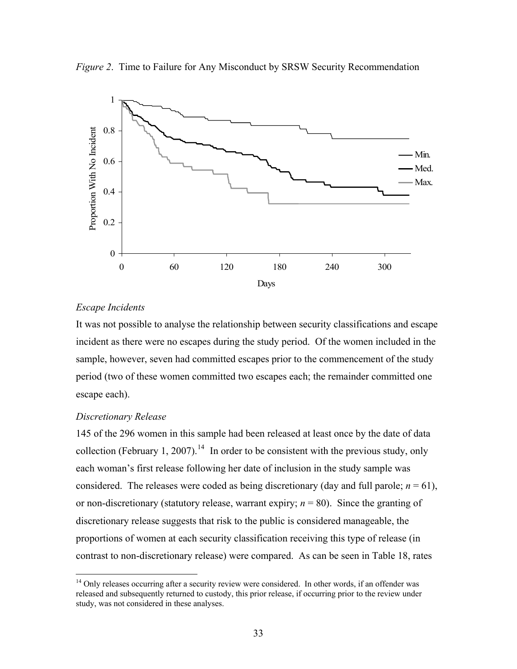<span id="page-42-0"></span>



# *Escape Incidents*

It was not possible to analyse the relationship between security classifications and escape incident as there were no escapes during the study period. Of the women included in the sample, however, seven had committed escapes prior to the commencement of the study period (two of these women committed two escapes each; the remainder committed one escape each).

# *Discretionary Release*

 $\overline{a}$ 

145 of the 296 women in this sample had been released at least once by the date of data collection (February 1, 2007).<sup>[14](#page-42-0)</sup> In order to be consistent with the previous study, only each woman's first release following her date of inclusion in the study sample was considered. The releases were coded as being discretionary (day and full parole;  $n = 61$ ), or non-discretionary (statutory release, warrant expiry; *n* = 80). Since the granting of discretionary release suggests that risk to the public is considered manageable, the proportions of women at each security classification receiving this type of release (in contrast to non-discretionary release) were compared. As can be seen in Table 18, rates

<sup>&</sup>lt;sup>14</sup> Only releases occurring after a security review were considered. In other words, if an offender was released and subsequently returned to custody, this prior release, if occurring prior to the review under study, was not considered in these analyses.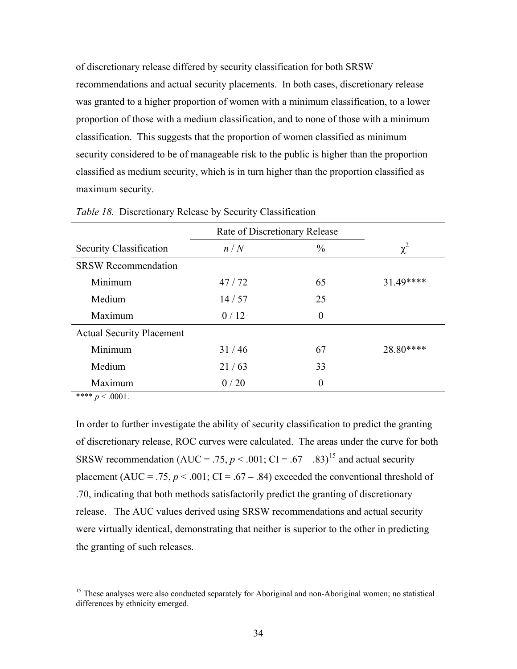<span id="page-43-0"></span>of discretionary release differed by security classification for both SRSW recommendations and actual security placements. In both cases, discretionary release was granted to a higher proportion of women with a minimum classification, to a lower proportion of those with a medium classification, and to none of those with a minimum classification. This suggests that the proportion of women classified as minimum security considered to be of manageable risk to the public is higher than the proportion classified as medium security, which is in turn higher than the proportion classified as maximum security.

|                                  | Rate of Discretionary Release |               |           |
|----------------------------------|-------------------------------|---------------|-----------|
| Security Classification          | n/N                           | $\frac{0}{0}$ | $\chi^2$  |
| <b>SRSW Recommendation</b>       |                               |               |           |
| Minimum                          | 47/72                         | 65            | 31.49**** |
| Medium                           | 14/57                         | 25            |           |
| Maximum                          | 0/12                          | $\theta$      |           |
| <b>Actual Security Placement</b> |                               |               |           |
| Minimum                          | 31/46                         | 67            | 28.80**** |
| Medium                           | 21/63                         | 33            |           |
| Maximum                          | 0/20                          | $\theta$      |           |

*Table 18.* Discretionary Release by Security Classification

\*\*\*\*  $p < .0001$ .

 $\overline{a}$ 

In order to further investigate the ability of security classification to predict the granting of discretionary release, ROC curves were calculated. The areas under the curve for both SRSW recommendation (AUC = .75,  $p < .001$ ; CI = .67 – .83)<sup>[15](#page-43-0)</sup> and actual security placement (AUC = .75,  $p < .001$ ; CI = .67 – .84) exceeded the conventional threshold of .70, indicating that both methods satisfactorily predict the granting of discretionary release. The AUC values derived using SRSW recommendations and actual security were virtually identical, demonstrating that neither is superior to the other in predicting the granting of such releases.

<sup>&</sup>lt;sup>15</sup> These analyses were also conducted separately for Aboriginal and non-Aboriginal women; no statistical differences by ethnicity emerged.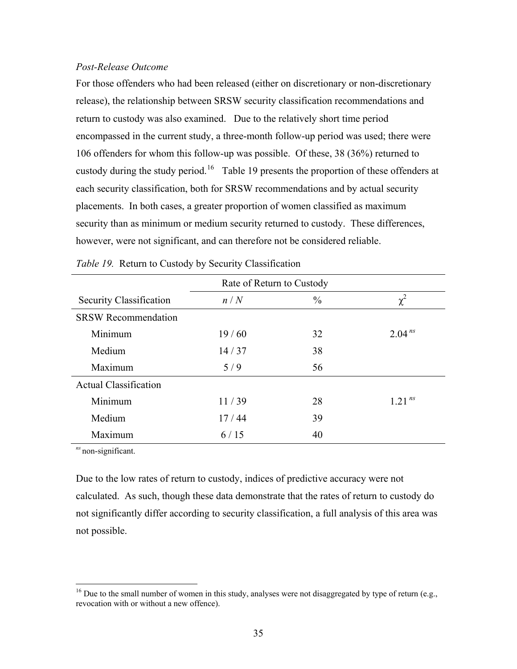## <span id="page-44-0"></span>*Post-Release Outcome*

For those offenders who had been released (either on discretionary or non-discretionary release), the relationship between SRSW security classification recommendations and return to custody was also examined. Due to the relatively short time period encompassed in the current study, a three-month follow-up period was used; there were 106 offenders for whom this follow-up was possible. Of these, 38 (36%) returned to custody during the study period.<sup>[16](#page-44-0)</sup> Table 19 presents the proportion of these offenders at each security classification, both for SRSW recommendations and by actual security placements. In both cases, a greater proportion of women classified as maximum security than as minimum or medium security returned to custody. These differences, however, were not significant, and can therefore not be considered reliable.

| Rate of Return to Custody    |       |               |             |  |  |  |
|------------------------------|-------|---------------|-------------|--|--|--|
| Security Classification      | n/N   | $\frac{0}{0}$ | $\chi^2$    |  |  |  |
| <b>SRSW Recommendation</b>   |       |               |             |  |  |  |
| Minimum                      | 19/60 | 32            | $2.04^{ns}$ |  |  |  |
| Medium                       | 14/37 | 38            |             |  |  |  |
| Maximum                      | 5/9   | 56            |             |  |  |  |
| <b>Actual Classification</b> |       |               |             |  |  |  |
| Minimum                      | 11/39 | 28            | $1.21^{ns}$ |  |  |  |
| Medium                       | 17/44 | 39            |             |  |  |  |
| Maximum                      | 6/15  | 40            |             |  |  |  |

|  |  | Table 19. Return to Custody by Security Classification |
|--|--|--------------------------------------------------------|
|  |  |                                                        |

*ns* non-significant.

 $\overline{a}$ 

Due to the low rates of return to custody, indices of predictive accuracy were not calculated. As such, though these data demonstrate that the rates of return to custody do not significantly differ according to security classification, a full analysis of this area was not possible.

<sup>&</sup>lt;sup>16</sup> Due to the small number of women in this study, analyses were not disaggregated by type of return (e.g., revocation with or without a new offence).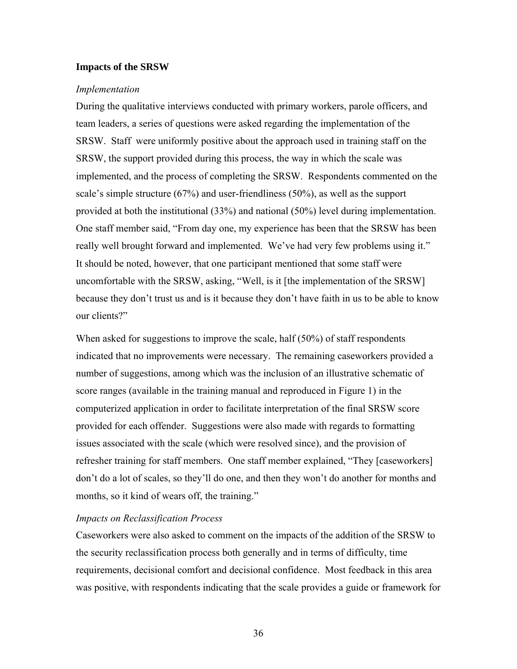## <span id="page-45-0"></span>**Impacts of the SRSW**

#### *Implementation*

During the qualitative interviews conducted with primary workers, parole officers, and team leaders, a series of questions were asked regarding the implementation of the SRSW. Staff were uniformly positive about the approach used in training staff on the SRSW, the support provided during this process, the way in which the scale was implemented, and the process of completing the SRSW. Respondents commented on the scale's simple structure (67%) and user-friendliness (50%), as well as the support provided at both the institutional (33%) and national (50%) level during implementation. One staff member said, "From day one, my experience has been that the SRSW has been really well brought forward and implemented. We've had very few problems using it." It should be noted, however, that one participant mentioned that some staff were uncomfortable with the SRSW, asking, "Well, is it [the implementation of the SRSW] because they don't trust us and is it because they don't have faith in us to be able to know our clients?"

When asked for suggestions to improve the scale, half (50%) of staff respondents indicated that no improvements were necessary. The remaining caseworkers provided a number of suggestions, among which was the inclusion of an illustrative schematic of score ranges (available in the training manual and reproduced in Figure 1) in the computerized application in order to facilitate interpretation of the final SRSW score provided for each offender. Suggestions were also made with regards to formatting issues associated with the scale (which were resolved since), and the provision of refresher training for staff members. One staff member explained, "They [caseworkers] don't do a lot of scales, so they'll do one, and then they won't do another for months and months, so it kind of wears off, the training."

## *Impacts on Reclassification Process*

Caseworkers were also asked to comment on the impacts of the addition of the SRSW to the security reclassification process both generally and in terms of difficulty, time requirements, decisional comfort and decisional confidence. Most feedback in this area was positive, with respondents indicating that the scale provides a guide or framework for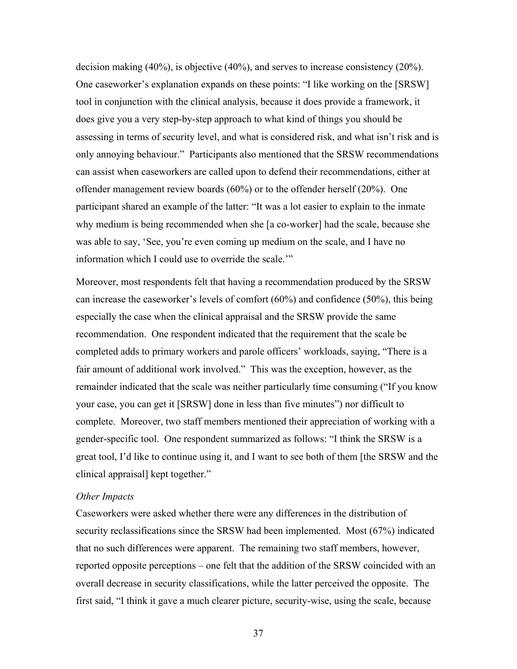<span id="page-46-0"></span>decision making (40%), is objective (40%), and serves to increase consistency (20%). One caseworker's explanation expands on these points: "I like working on the [SRSW] tool in conjunction with the clinical analysis, because it does provide a framework, it does give you a very step-by-step approach to what kind of things you should be assessing in terms of security level, and what is considered risk, and what isn't risk and is only annoying behaviour." Participants also mentioned that the SRSW recommendations can assist when caseworkers are called upon to defend their recommendations, either at offender management review boards (60%) or to the offender herself (20%). One participant shared an example of the latter: "It was a lot easier to explain to the inmate why medium is being recommended when she [a co-worker] had the scale, because she was able to say, 'See, you're even coming up medium on the scale, and I have no information which I could use to override the scale.'"

Moreover, most respondents felt that having a recommendation produced by the SRSW can increase the caseworker's levels of comfort (60%) and confidence (50%), this being especially the case when the clinical appraisal and the SRSW provide the same recommendation. One respondent indicated that the requirement that the scale be completed adds to primary workers and parole officers' workloads, saying, "There is a fair amount of additional work involved." This was the exception, however, as the remainder indicated that the scale was neither particularly time consuming ("If you know your case, you can get it [SRSW] done in less than five minutes") nor difficult to complete. Moreover, two staff members mentioned their appreciation of working with a gender-specific tool. One respondent summarized as follows: "I think the SRSW is a great tool, I'd like to continue using it, and I want to see both of them [the SRSW and the clinical appraisal] kept together."

#### *Other Impacts*

Caseworkers were asked whether there were any differences in the distribution of security reclassifications since the SRSW had been implemented. Most (67%) indicated that no such differences were apparent. The remaining two staff members, however, reported opposite perceptions – one felt that the addition of the SRSW coincided with an overall decrease in security classifications, while the latter perceived the opposite. The first said, "I think it gave a much clearer picture, security-wise, using the scale, because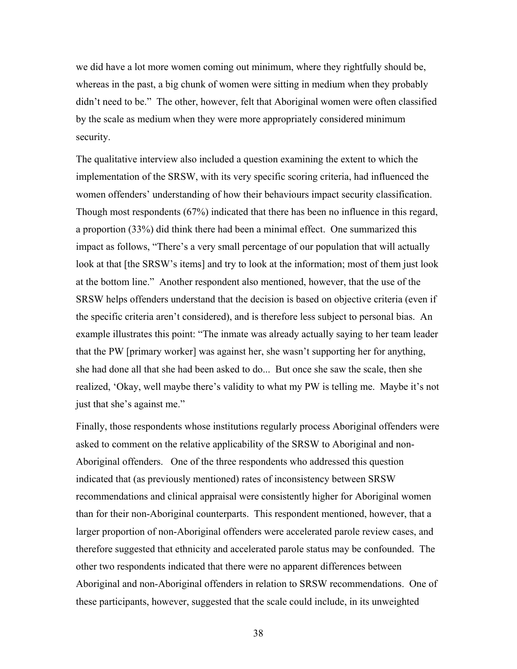we did have a lot more women coming out minimum, where they rightfully should be, whereas in the past, a big chunk of women were sitting in medium when they probably didn't need to be." The other, however, felt that Aboriginal women were often classified by the scale as medium when they were more appropriately considered minimum security.

The qualitative interview also included a question examining the extent to which the implementation of the SRSW, with its very specific scoring criteria, had influenced the women offenders' understanding of how their behaviours impact security classification. Though most respondents (67%) indicated that there has been no influence in this regard, a proportion (33%) did think there had been a minimal effect. One summarized this impact as follows, "There's a very small percentage of our population that will actually look at that [the SRSW's items] and try to look at the information; most of them just look at the bottom line." Another respondent also mentioned, however, that the use of the SRSW helps offenders understand that the decision is based on objective criteria (even if the specific criteria aren't considered), and is therefore less subject to personal bias. An example illustrates this point: "The inmate was already actually saying to her team leader that the PW [primary worker] was against her, she wasn't supporting her for anything, she had done all that she had been asked to do... But once she saw the scale, then she realized, 'Okay, well maybe there's validity to what my PW is telling me. Maybe it's not just that she's against me."

Finally, those respondents whose institutions regularly process Aboriginal offenders were asked to comment on the relative applicability of the SRSW to Aboriginal and non-Aboriginal offenders. One of the three respondents who addressed this question indicated that (as previously mentioned) rates of inconsistency between SRSW recommendations and clinical appraisal were consistently higher for Aboriginal women than for their non-Aboriginal counterparts. This respondent mentioned, however, that a larger proportion of non-Aboriginal offenders were accelerated parole review cases, and therefore suggested that ethnicity and accelerated parole status may be confounded. The other two respondents indicated that there were no apparent differences between Aboriginal and non-Aboriginal offenders in relation to SRSW recommendations. One of these participants, however, suggested that the scale could include, in its unweighted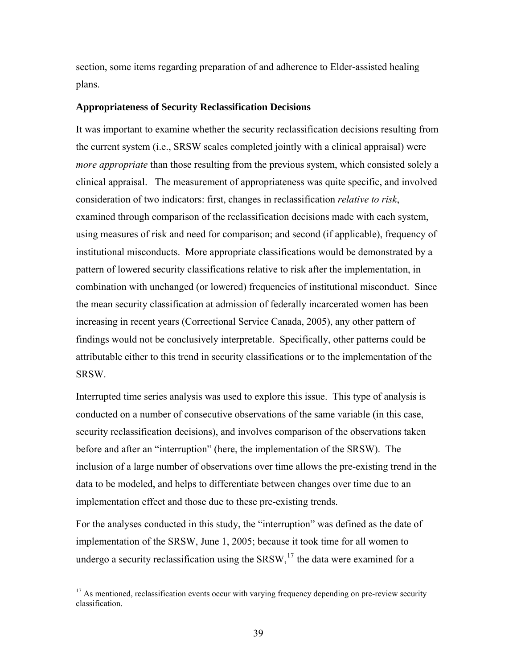<span id="page-48-0"></span>section, some items regarding preparation of and adherence to Elder-assisted healing plans.

#### **Appropriateness of Security Reclassification Decisions**

It was important to examine whether the security reclassification decisions resulting from the current system (i.e., SRSW scales completed jointly with a clinical appraisal) were *more appropriate* than those resulting from the previous system, which consisted solely a clinical appraisal. The measurement of appropriateness was quite specific, and involved consideration of two indicators: first, changes in reclassification *relative to risk*, examined through comparison of the reclassification decisions made with each system, using measures of risk and need for comparison; and second (if applicable), frequency of institutional misconducts. More appropriate classifications would be demonstrated by a pattern of lowered security classifications relative to risk after the implementation, in combination with unchanged (or lowered) frequencies of institutional misconduct. Since the mean security classification at admission of federally incarcerated women has been increasing in recent years (Correctional Service Canada, 2005), any other pattern of findings would not be conclusively interpretable. Specifically, other patterns could be attributable either to this trend in security classifications or to the implementation of the SRSW.

Interrupted time series analysis was used to explore this issue. This type of analysis is conducted on a number of consecutive observations of the same variable (in this case, security reclassification decisions), and involves comparison of the observations taken before and after an "interruption" (here, the implementation of the SRSW). The inclusion of a large number of observations over time allows the pre-existing trend in the data to be modeled, and helps to differentiate between changes over time due to an implementation effect and those due to these pre-existing trends.

For the analyses conducted in this study, the "interruption" was defined as the date of implementation of the SRSW, June 1, 2005; because it took time for all women to undergo a security reclassification using the  $SRSW<sub>1</sub><sup>17</sup>$  $SRSW<sub>1</sub><sup>17</sup>$  $SRSW<sub>1</sub><sup>17</sup>$  the data were examined for a

 $\overline{a}$ 

 $17$  As mentioned, reclassification events occur with varying frequency depending on pre-review security classification.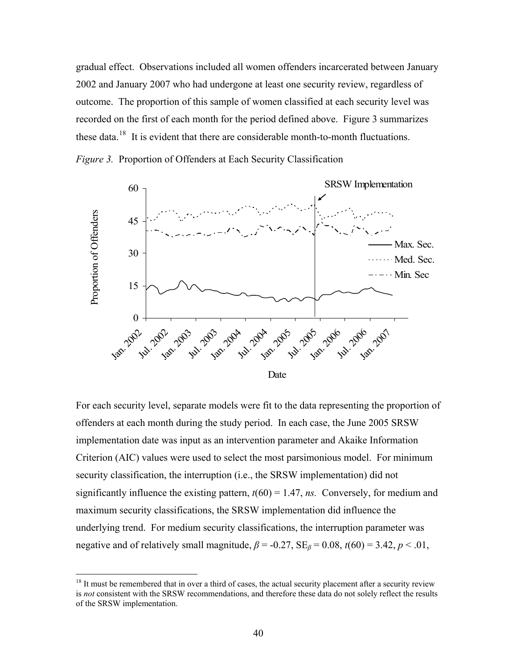<span id="page-49-0"></span>gradual effect. Observations included all women offenders incarcerated between January 2002 and January 2007 who had undergone at least one security review, regardless of outcome. The proportion of this sample of women classified at each security level was recorded on the first of each month for the period defined above. Figure 3 summarizes these data.<sup>[18](#page-49-0)</sup> It is evident that there are considerable month-to-month fluctuations.

*Figure 3.* Proportion of Offenders at Each Security Classification



For each security level, separate models were fit to the data representing the proportion of offenders at each month during the study period. In each case, the June 2005 SRSW implementation date was input as an intervention parameter and Akaike Information Criterion (AIC) values were used to select the most parsimonious model. For minimum security classification, the interruption (i.e., the SRSW implementation) did not significantly influence the existing pattern,  $t(60) = 1.47$ , *ns.* Conversely, for medium and maximum security classifications, the SRSW implementation did influence the underlying trend. For medium security classifications, the interruption parameter was negative and of relatively small magnitude,  $\beta$  = -0.27, SE<sub>*β*</sub> = 0.08, *t*(60) = 3.42, *p* < .01,

 $\overline{a}$ 

<sup>&</sup>lt;sup>18</sup> It must be remembered that in over a third of cases, the actual security placement after a security review is *not* consistent with the SRSW recommendations, and therefore these data do not solely reflect the results of the SRSW implementation.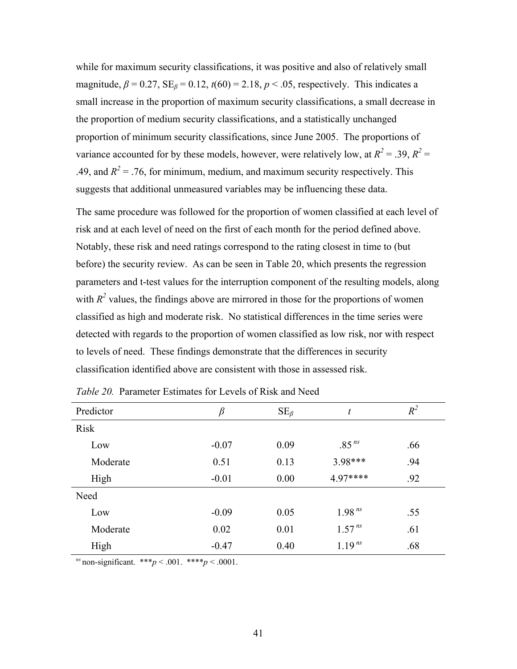<span id="page-50-0"></span>while for maximum security classifications, it was positive and also of relatively small magnitude,  $\beta = 0.27$ ,  $SE_\beta = 0.12$ ,  $t(60) = 2.18$ ,  $p < .05$ , respectively. This indicates a small increase in the proportion of maximum security classifications, a small decrease in the proportion of medium security classifications, and a statistically unchanged proportion of minimum security classifications, since June 2005. The proportions of variance accounted for by these models, however, were relatively low, at  $R^2 = .39$ ,  $R^2 =$ .49, and  $R^2$  = .76, for minimum, medium, and maximum security respectively. This suggests that additional unmeasured variables may be influencing these data.

The same procedure was followed for the proportion of women classified at each level of risk and at each level of need on the first of each month for the period defined above. Notably, these risk and need ratings correspond to the rating closest in time to (but before) the security review. As can be seen in Table 20, which presents the regression parameters and t-test values for the interruption component of the resulting models, along with  $R^2$  values, the findings above are mirrored in those for the proportions of women classified as high and moderate risk. No statistical differences in the time series were detected with regards to the proportion of women classified as low risk, nor with respect to levels of need. These findings demonstrate that the differences in security classification identified above are consistent with those in assessed risk.

| Predictor   | β       | $SE_{\beta}$ | t                 | $R^2$ |
|-------------|---------|--------------|-------------------|-------|
| <b>Risk</b> |         |              |                   |       |
| Low         | $-0.07$ | 0.09         | .85 <sup>ns</sup> | .66   |
| Moderate    | 0.51    | 0.13         | 3.98***           | .94   |
| High        | $-0.01$ | 0.00         | $4.97***$         | .92   |
| Need        |         |              |                   |       |
| Low         | $-0.09$ | 0.05         | $1.98^{ns}$       | .55   |
| Moderate    | 0.02    | 0.01         | $1.57^{ns}$       | .61   |
| High        | $-0.47$ | 0.40         | $1.19^{ns}$       | .68   |

| <i>Table 20.</i> Parameter Estimates for Levels of Risk and Need |  |  |  |  |  |  |
|------------------------------------------------------------------|--|--|--|--|--|--|
|------------------------------------------------------------------|--|--|--|--|--|--|

*ns* non-significant. \*\*\**p* < .001. \*\*\*\**p* < .0001.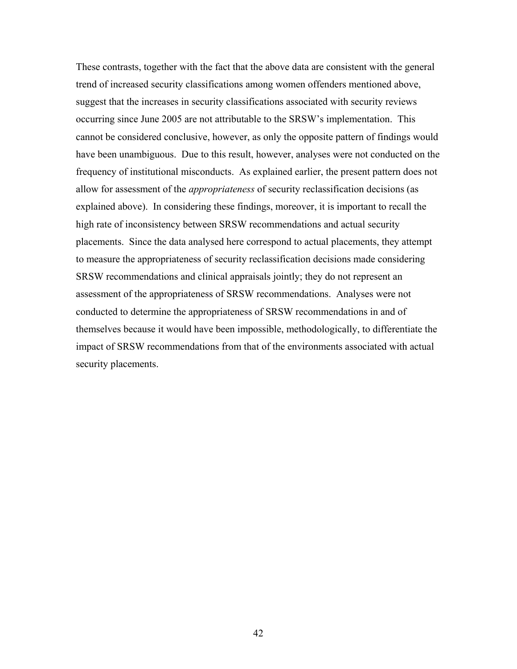These contrasts, together with the fact that the above data are consistent with the general trend of increased security classifications among women offenders mentioned above, suggest that the increases in security classifications associated with security reviews occurring since June 2005 are not attributable to the SRSW's implementation. This cannot be considered conclusive, however, as only the opposite pattern of findings would have been unambiguous. Due to this result, however, analyses were not conducted on the frequency of institutional misconducts. As explained earlier, the present pattern does not allow for assessment of the *appropriateness* of security reclassification decisions (as explained above). In considering these findings, moreover, it is important to recall the high rate of inconsistency between SRSW recommendations and actual security placements. Since the data analysed here correspond to actual placements, they attempt to measure the appropriateness of security reclassification decisions made considering SRSW recommendations and clinical appraisals jointly; they do not represent an assessment of the appropriateness of SRSW recommendations. Analyses were not conducted to determine the appropriateness of SRSW recommendations in and of themselves because it would have been impossible, methodologically, to differentiate the impact of SRSW recommendations from that of the environments associated with actual security placements.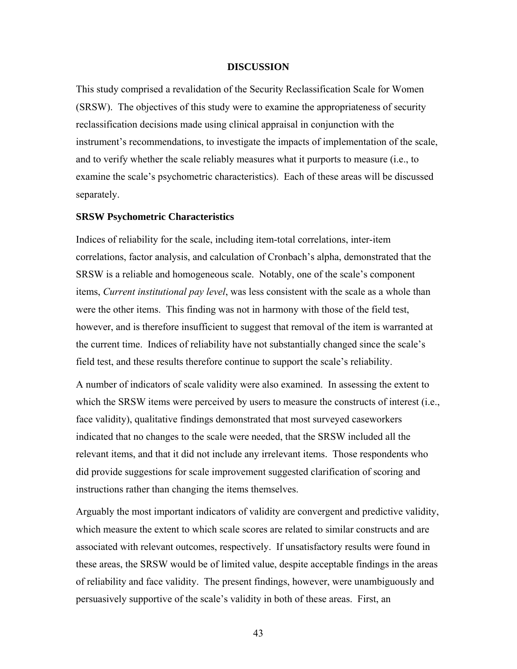### **DISCUSSION**

<span id="page-52-0"></span>This study comprised a revalidation of the Security Reclassification Scale for Women (SRSW). The objectives of this study were to examine the appropriateness of security reclassification decisions made using clinical appraisal in conjunction with the instrument's recommendations, to investigate the impacts of implementation of the scale, and to verify whether the scale reliably measures what it purports to measure (i.e., to examine the scale's psychometric characteristics). Each of these areas will be discussed separately.

#### **SRSW Psychometric Characteristics**

Indices of reliability for the scale, including item-total correlations, inter-item correlations, factor analysis, and calculation of Cronbach's alpha, demonstrated that the SRSW is a reliable and homogeneous scale. Notably, one of the scale's component items, *Current institutional pay level*, was less consistent with the scale as a whole than were the other items. This finding was not in harmony with those of the field test, however, and is therefore insufficient to suggest that removal of the item is warranted at the current time. Indices of reliability have not substantially changed since the scale's field test, and these results therefore continue to support the scale's reliability.

A number of indicators of scale validity were also examined. In assessing the extent to which the SRSW items were perceived by users to measure the constructs of interest (i.e., face validity), qualitative findings demonstrated that most surveyed caseworkers indicated that no changes to the scale were needed, that the SRSW included all the relevant items, and that it did not include any irrelevant items. Those respondents who did provide suggestions for scale improvement suggested clarification of scoring and instructions rather than changing the items themselves.

Arguably the most important indicators of validity are convergent and predictive validity, which measure the extent to which scale scores are related to similar constructs and are associated with relevant outcomes, respectively. If unsatisfactory results were found in these areas, the SRSW would be of limited value, despite acceptable findings in the areas of reliability and face validity. The present findings, however, were unambiguously and persuasively supportive of the scale's validity in both of these areas. First, an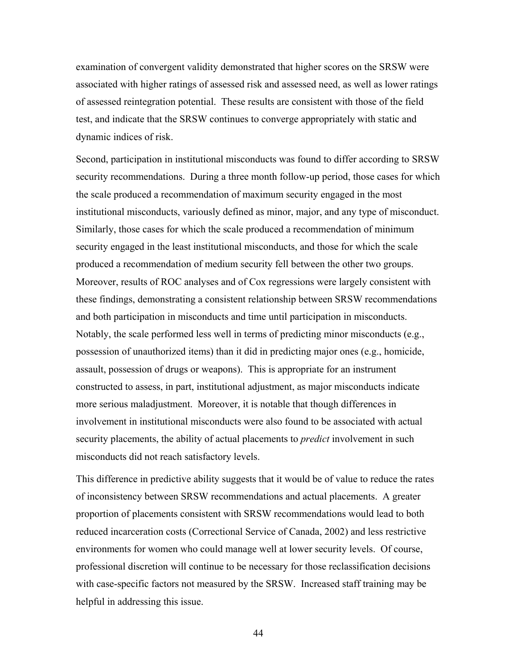examination of convergent validity demonstrated that higher scores on the SRSW were associated with higher ratings of assessed risk and assessed need, as well as lower ratings of assessed reintegration potential. These results are consistent with those of the field test, and indicate that the SRSW continues to converge appropriately with static and dynamic indices of risk.

Second, participation in institutional misconducts was found to differ according to SRSW security recommendations. During a three month follow-up period, those cases for which the scale produced a recommendation of maximum security engaged in the most institutional misconducts, variously defined as minor, major, and any type of misconduct. Similarly, those cases for which the scale produced a recommendation of minimum security engaged in the least institutional misconducts, and those for which the scale produced a recommendation of medium security fell between the other two groups. Moreover, results of ROC analyses and of Cox regressions were largely consistent with these findings, demonstrating a consistent relationship between SRSW recommendations and both participation in misconducts and time until participation in misconducts. Notably, the scale performed less well in terms of predicting minor misconducts (e.g., possession of unauthorized items) than it did in predicting major ones (e.g., homicide, assault, possession of drugs or weapons). This is appropriate for an instrument constructed to assess, in part, institutional adjustment, as major misconducts indicate more serious maladjustment. Moreover, it is notable that though differences in involvement in institutional misconducts were also found to be associated with actual security placements, the ability of actual placements to *predict* involvement in such misconducts did not reach satisfactory levels.

This difference in predictive ability suggests that it would be of value to reduce the rates of inconsistency between SRSW recommendations and actual placements. A greater proportion of placements consistent with SRSW recommendations would lead to both reduced incarceration costs (Correctional Service of Canada, 2002) and less restrictive environments for women who could manage well at lower security levels. Of course, professional discretion will continue to be necessary for those reclassification decisions with case-specific factors not measured by the SRSW. Increased staff training may be helpful in addressing this issue.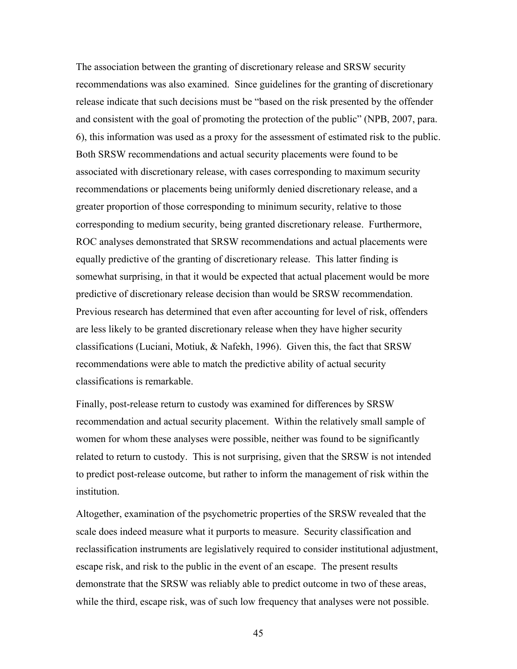The association between the granting of discretionary release and SRSW security recommendations was also examined. Since guidelines for the granting of discretionary release indicate that such decisions must be "based on the risk presented by the offender and consistent with the goal of promoting the protection of the public" (NPB, 2007, para. 6), this information was used as a proxy for the assessment of estimated risk to the public. Both SRSW recommendations and actual security placements were found to be associated with discretionary release, with cases corresponding to maximum security recommendations or placements being uniformly denied discretionary release, and a greater proportion of those corresponding to minimum security, relative to those corresponding to medium security, being granted discretionary release. Furthermore, ROC analyses demonstrated that SRSW recommendations and actual placements were equally predictive of the granting of discretionary release. This latter finding is somewhat surprising, in that it would be expected that actual placement would be more predictive of discretionary release decision than would be SRSW recommendation. Previous research has determined that even after accounting for level of risk, offenders are less likely to be granted discretionary release when they have higher security classifications (Luciani, Motiuk, & Nafekh, 1996). Given this, the fact that SRSW recommendations were able to match the predictive ability of actual security classifications is remarkable.

Finally, post-release return to custody was examined for differences by SRSW recommendation and actual security placement. Within the relatively small sample of women for whom these analyses were possible, neither was found to be significantly related to return to custody. This is not surprising, given that the SRSW is not intended to predict post-release outcome, but rather to inform the management of risk within the institution.

Altogether, examination of the psychometric properties of the SRSW revealed that the scale does indeed measure what it purports to measure. Security classification and reclassification instruments are legislatively required to consider institutional adjustment, escape risk, and risk to the public in the event of an escape. The present results demonstrate that the SRSW was reliably able to predict outcome in two of these areas, while the third, escape risk, was of such low frequency that analyses were not possible.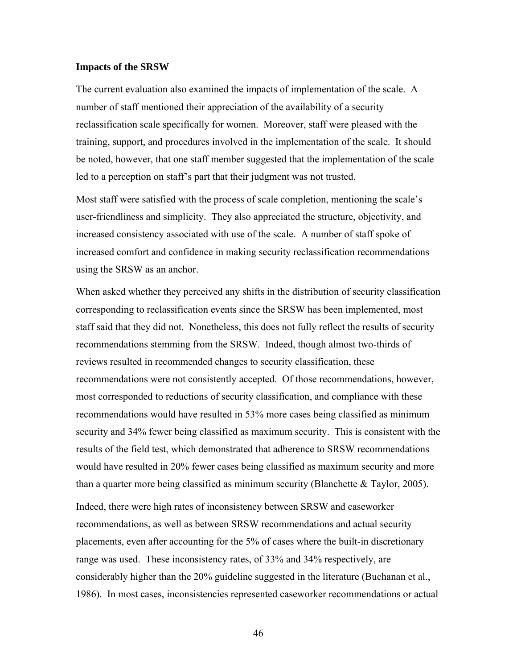#### <span id="page-55-0"></span>**Impacts of the SRSW**

The current evaluation also examined the impacts of implementation of the scale. A number of staff mentioned their appreciation of the availability of a security reclassification scale specifically for women. Moreover, staff were pleased with the training, support, and procedures involved in the implementation of the scale. It should be noted, however, that one staff member suggested that the implementation of the scale led to a perception on staff's part that their judgment was not trusted.

Most staff were satisfied with the process of scale completion, mentioning the scale's user-friendliness and simplicity. They also appreciated the structure, objectivity, and increased consistency associated with use of the scale. A number of staff spoke of increased comfort and confidence in making security reclassification recommendations using the SRSW as an anchor.

When asked whether they perceived any shifts in the distribution of security classification corresponding to reclassification events since the SRSW has been implemented, most staff said that they did not. Nonetheless, this does not fully reflect the results of security recommendations stemming from the SRSW. Indeed, though almost two-thirds of reviews resulted in recommended changes to security classification, these recommendations were not consistently accepted. Of those recommendations, however, most corresponded to reductions of security classification, and compliance with these recommendations would have resulted in 53% more cases being classified as minimum security and 34% fewer being classified as maximum security. This is consistent with the results of the field test, which demonstrated that adherence to SRSW recommendations would have resulted in 20% fewer cases being classified as maximum security and more than a quarter more being classified as minimum security (Blanchette  $\&$  Taylor, 2005).

Indeed, there were high rates of inconsistency between SRSW and caseworker recommendations, as well as between SRSW recommendations and actual security placements, even after accounting for the 5% of cases where the built-in discretionary range was used. These inconsistency rates, of 33% and 34% respectively, are considerably higher than the 20% guideline suggested in the literature (Buchanan et al., 1986). In most cases, inconsistencies represented caseworker recommendations or actual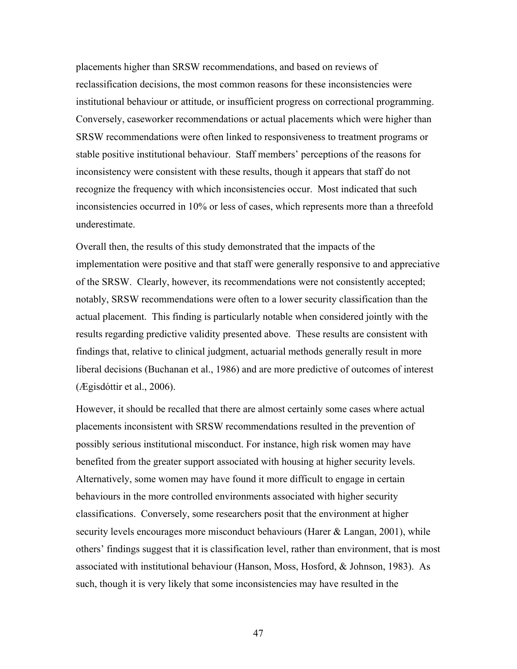placements higher than SRSW recommendations, and based on reviews of reclassification decisions, the most common reasons for these inconsistencies were institutional behaviour or attitude, or insufficient progress on correctional programming. Conversely, caseworker recommendations or actual placements which were higher than SRSW recommendations were often linked to responsiveness to treatment programs or stable positive institutional behaviour. Staff members' perceptions of the reasons for inconsistency were consistent with these results, though it appears that staff do not recognize the frequency with which inconsistencies occur. Most indicated that such inconsistencies occurred in 10% or less of cases, which represents more than a threefold underestimate.

Overall then, the results of this study demonstrated that the impacts of the implementation were positive and that staff were generally responsive to and appreciative of the SRSW. Clearly, however, its recommendations were not consistently accepted; notably, SRSW recommendations were often to a lower security classification than the actual placement. This finding is particularly notable when considered jointly with the results regarding predictive validity presented above. These results are consistent with findings that, relative to clinical judgment, actuarial methods generally result in more liberal decisions (Buchanan et al., 1986) and are more predictive of outcomes of interest (Ægisdóttir et al., 2006).

However, it should be recalled that there are almost certainly some cases where actual placements inconsistent with SRSW recommendations resulted in the prevention of possibly serious institutional misconduct. For instance, high risk women may have benefited from the greater support associated with housing at higher security levels. Alternatively, some women may have found it more difficult to engage in certain behaviours in the more controlled environments associated with higher security classifications. Conversely, some researchers posit that the environment at higher security levels encourages more misconduct behaviours (Harer & Langan, 2001), while others' findings suggest that it is classification level, rather than environment, that is most associated with institutional behaviour (Hanson, Moss, Hosford, & Johnson, 1983). As such, though it is very likely that some inconsistencies may have resulted in the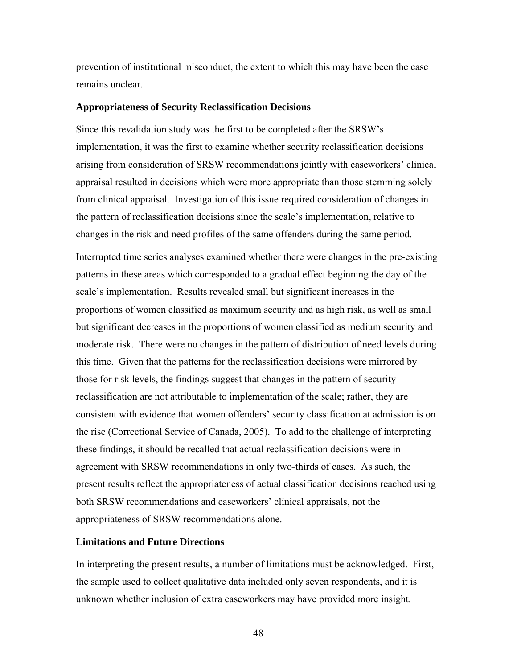<span id="page-57-0"></span>prevention of institutional misconduct, the extent to which this may have been the case remains unclear.

#### **Appropriateness of Security Reclassification Decisions**

Since this revalidation study was the first to be completed after the SRSW's implementation, it was the first to examine whether security reclassification decisions arising from consideration of SRSW recommendations jointly with caseworkers' clinical appraisal resulted in decisions which were more appropriate than those stemming solely from clinical appraisal. Investigation of this issue required consideration of changes in the pattern of reclassification decisions since the scale's implementation, relative to changes in the risk and need profiles of the same offenders during the same period.

Interrupted time series analyses examined whether there were changes in the pre-existing patterns in these areas which corresponded to a gradual effect beginning the day of the scale's implementation. Results revealed small but significant increases in the proportions of women classified as maximum security and as high risk, as well as small but significant decreases in the proportions of women classified as medium security and moderate risk. There were no changes in the pattern of distribution of need levels during this time. Given that the patterns for the reclassification decisions were mirrored by those for risk levels, the findings suggest that changes in the pattern of security reclassification are not attributable to implementation of the scale; rather, they are consistent with evidence that women offenders' security classification at admission is on the rise (Correctional Service of Canada, 2005). To add to the challenge of interpreting these findings, it should be recalled that actual reclassification decisions were in agreement with SRSW recommendations in only two-thirds of cases. As such, the present results reflect the appropriateness of actual classification decisions reached using both SRSW recommendations and caseworkers' clinical appraisals, not the appropriateness of SRSW recommendations alone.

# **Limitations and Future Directions**

In interpreting the present results, a number of limitations must be acknowledged. First, the sample used to collect qualitative data included only seven respondents, and it is unknown whether inclusion of extra caseworkers may have provided more insight.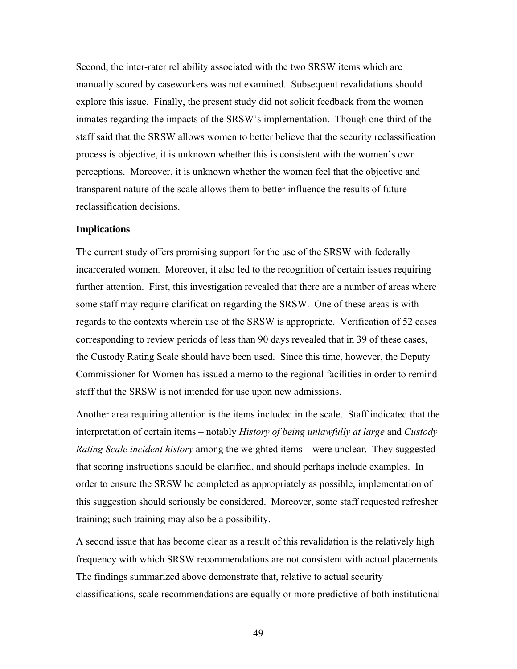<span id="page-58-0"></span>Second, the inter-rater reliability associated with the two SRSW items which are manually scored by caseworkers was not examined. Subsequent revalidations should explore this issue. Finally, the present study did not solicit feedback from the women inmates regarding the impacts of the SRSW's implementation. Though one-third of the staff said that the SRSW allows women to better believe that the security reclassification process is objective, it is unknown whether this is consistent with the women's own perceptions. Moreover, it is unknown whether the women feel that the objective and transparent nature of the scale allows them to better influence the results of future reclassification decisions.

#### **Implications**

The current study offers promising support for the use of the SRSW with federally incarcerated women. Moreover, it also led to the recognition of certain issues requiring further attention. First, this investigation revealed that there are a number of areas where some staff may require clarification regarding the SRSW. One of these areas is with regards to the contexts wherein use of the SRSW is appropriate. Verification of 52 cases corresponding to review periods of less than 90 days revealed that in 39 of these cases, the Custody Rating Scale should have been used. Since this time, however, the Deputy Commissioner for Women has issued a memo to the regional facilities in order to remind staff that the SRSW is not intended for use upon new admissions.

Another area requiring attention is the items included in the scale. Staff indicated that the interpretation of certain items – notably *History of being unlawfully at large* and *Custody Rating Scale incident history* among the weighted items – were unclear. They suggested that scoring instructions should be clarified, and should perhaps include examples. In order to ensure the SRSW be completed as appropriately as possible, implementation of this suggestion should seriously be considered. Moreover, some staff requested refresher training; such training may also be a possibility.

A second issue that has become clear as a result of this revalidation is the relatively high frequency with which SRSW recommendations are not consistent with actual placements. The findings summarized above demonstrate that, relative to actual security classifications, scale recommendations are equally or more predictive of both institutional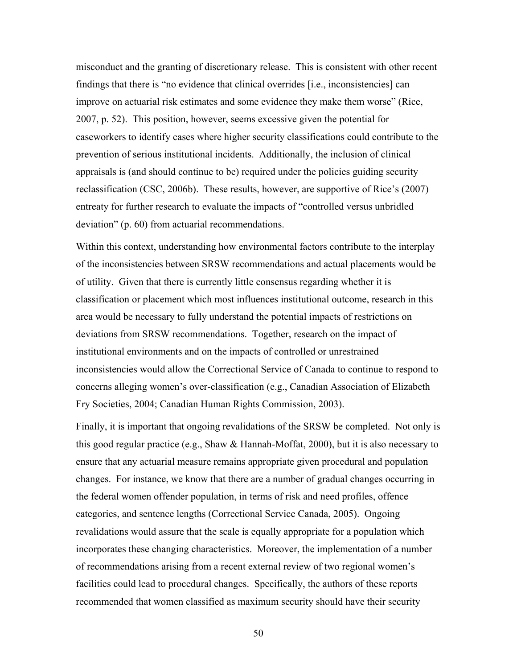misconduct and the granting of discretionary release. This is consistent with other recent findings that there is "no evidence that clinical overrides [i.e., inconsistencies] can improve on actuarial risk estimates and some evidence they make them worse" (Rice, 2007, p. 52). This position, however, seems excessive given the potential for caseworkers to identify cases where higher security classifications could contribute to the prevention of serious institutional incidents. Additionally, the inclusion of clinical appraisals is (and should continue to be) required under the policies guiding security reclassification (CSC, 2006b). These results, however, are supportive of Rice's (2007) entreaty for further research to evaluate the impacts of "controlled versus unbridled deviation" (p. 60) from actuarial recommendations.

Within this context, understanding how environmental factors contribute to the interplay of the inconsistencies between SRSW recommendations and actual placements would be of utility. Given that there is currently little consensus regarding whether it is classification or placement which most influences institutional outcome, research in this area would be necessary to fully understand the potential impacts of restrictions on deviations from SRSW recommendations. Together, research on the impact of institutional environments and on the impacts of controlled or unrestrained inconsistencies would allow the Correctional Service of Canada to continue to respond to concerns alleging women's over-classification (e.g., Canadian Association of Elizabeth Fry Societies, 2004; Canadian Human Rights Commission, 2003).

Finally, it is important that ongoing revalidations of the SRSW be completed. Not only is this good regular practice (e.g., Shaw  $\&$  Hannah-Moffat, 2000), but it is also necessary to ensure that any actuarial measure remains appropriate given procedural and population changes. For instance, we know that there are a number of gradual changes occurring in the federal women offender population, in terms of risk and need profiles, offence categories, and sentence lengths (Correctional Service Canada, 2005). Ongoing revalidations would assure that the scale is equally appropriate for a population which incorporates these changing characteristics. Moreover, the implementation of a number of recommendations arising from a recent external review of two regional women's facilities could lead to procedural changes. Specifically, the authors of these reports recommended that women classified as maximum security should have their security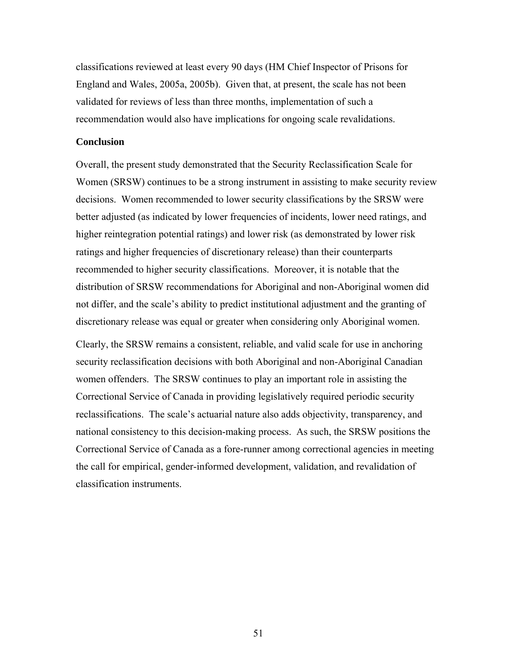<span id="page-60-0"></span>classifications reviewed at least every 90 days (HM Chief Inspector of Prisons for England and Wales, 2005a, 2005b). Given that, at present, the scale has not been validated for reviews of less than three months, implementation of such a recommendation would also have implications for ongoing scale revalidations.

## **Conclusion**

Overall, the present study demonstrated that the Security Reclassification Scale for Women (SRSW) continues to be a strong instrument in assisting to make security review decisions. Women recommended to lower security classifications by the SRSW were better adjusted (as indicated by lower frequencies of incidents, lower need ratings, and higher reintegration potential ratings) and lower risk (as demonstrated by lower risk ratings and higher frequencies of discretionary release) than their counterparts recommended to higher security classifications. Moreover, it is notable that the distribution of SRSW recommendations for Aboriginal and non-Aboriginal women did not differ, and the scale's ability to predict institutional adjustment and the granting of discretionary release was equal or greater when considering only Aboriginal women.

Clearly, the SRSW remains a consistent, reliable, and valid scale for use in anchoring security reclassification decisions with both Aboriginal and non-Aboriginal Canadian women offenders. The SRSW continues to play an important role in assisting the Correctional Service of Canada in providing legislatively required periodic security reclassifications. The scale's actuarial nature also adds objectivity, transparency, and national consistency to this decision-making process. As such, the SRSW positions the Correctional Service of Canada as a fore-runner among correctional agencies in meeting the call for empirical, gender-informed development, validation, and revalidation of classification instruments.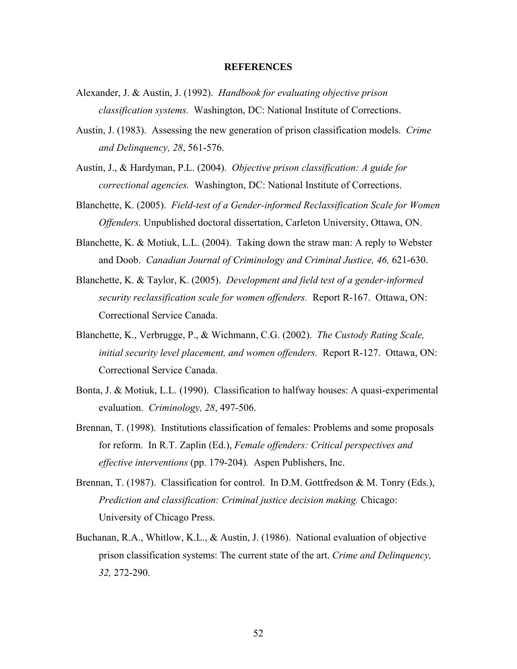#### **REFERENCES**

- <span id="page-61-0"></span>Alexander, J. & Austin, J. (1992). *Handbook for evaluating objective prison classification systems.* Washington, DC: National Institute of Corrections.
- Austin, J. (1983). Assessing the new generation of prison classification models. *Crime and Delinquency, 28*, 561-576.
- Austin, J., & Hardyman, P.L. (2004). *Objective prison classification: A guide for correctional agencies.* Washington, DC: National Institute of Corrections.
- Blanchette, K. (2005). *Field-test of a Gender-informed Reclassification Scale for Women Offenders.* Unpublished doctoral dissertation, Carleton University, Ottawa, ON.
- Blanchette, K. & Motiuk, L.L. (2004). Taking down the straw man: A reply to Webster and Doob. *Canadian Journal of Criminology and Criminal Justice, 46,* 621-630.
- Blanchette, K. & Taylor, K. (2005). *Development and field test of a gender-informed security reclassification scale for women offenders.* Report R-167. Ottawa, ON: Correctional Service Canada.
- Blanchette, K., Verbrugge, P., & Wichmann, C.G. (2002). *The Custody Rating Scale, initial security level placement, and women offenders.* Report R-127. Ottawa, ON: Correctional Service Canada.
- Bonta, J. & Motiuk, L.L. (1990). Classification to halfway houses: A quasi-experimental evaluation. *Criminology, 28*, 497-506.
- Brennan, T. (1998). Institutions classification of females: Problems and some proposals for reform. In R.T. Zaplin (Ed.), *Female offenders: Critical perspectives and effective interventions* (pp. 179-204)*.* Aspen Publishers, Inc.
- Brennan, T. (1987). Classification for control. In D.M. Gottfredson & M. Tonry (Eds.), *Prediction and classification: Criminal justice decision making.* Chicago: University of Chicago Press.
- Buchanan, R.A., Whitlow, K.L., & Austin, J. (1986). National evaluation of objective prison classification systems: The current state of the art. *Crime and Delinquency, 32,* 272-290.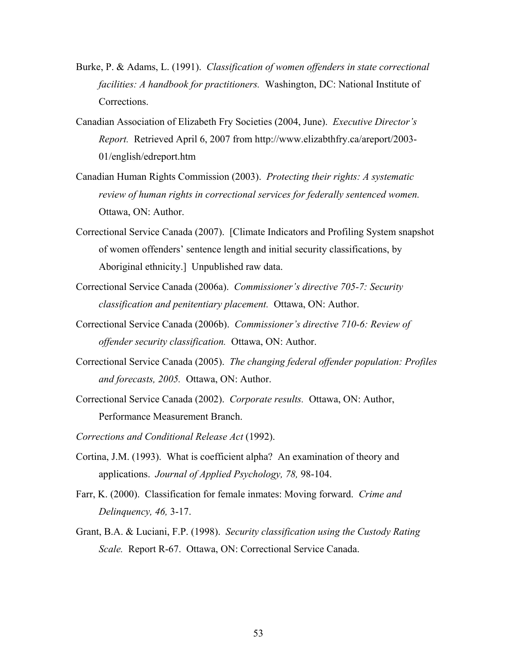- Burke, P. & Adams, L. (1991). *Classification of women offenders in state correctional facilities: A handbook for practitioners.* Washington, DC: National Institute of Corrections.
- Canadian Association of Elizabeth Fry Societies (2004, June). *Executive Director's Report.* Retrieved April 6, 2007 from http://www.elizabthfry.ca/areport/2003- 01/english/edreport.htm
- Canadian Human Rights Commission (2003). *Protecting their rights: A systematic review of human rights in correctional services for federally sentenced women.*  Ottawa, ON: Author.
- Correctional Service Canada (2007). [Climate Indicators and Profiling System snapshot of women offenders' sentence length and initial security classifications, by Aboriginal ethnicity.] Unpublished raw data.
- Correctional Service Canada (2006a). *Commissioner's directive 705-7: Security classification and penitentiary placement.* Ottawa, ON: Author.
- Correctional Service Canada (2006b). *Commissioner's directive 710-6: Review of offender security classification.* Ottawa, ON: Author.
- Correctional Service Canada (2005). *The changing federal offender population: Profiles and forecasts, 2005.* Ottawa, ON: Author.
- Correctional Service Canada (2002). *Corporate results.* Ottawa, ON: Author, Performance Measurement Branch.
- *Corrections and Conditional Release Act* (1992).
- Cortina, J.M. (1993). What is coefficient alpha? An examination of theory and applications. *Journal of Applied Psychology, 78,* 98-104.
- Farr, K. (2000). Classification for female inmates: Moving forward. *Crime and Delinquency, 46,* 3-17.
- Grant, B.A. & Luciani, F.P. (1998). *Security classification using the Custody Rating Scale.* Report R-67. Ottawa, ON: Correctional Service Canada.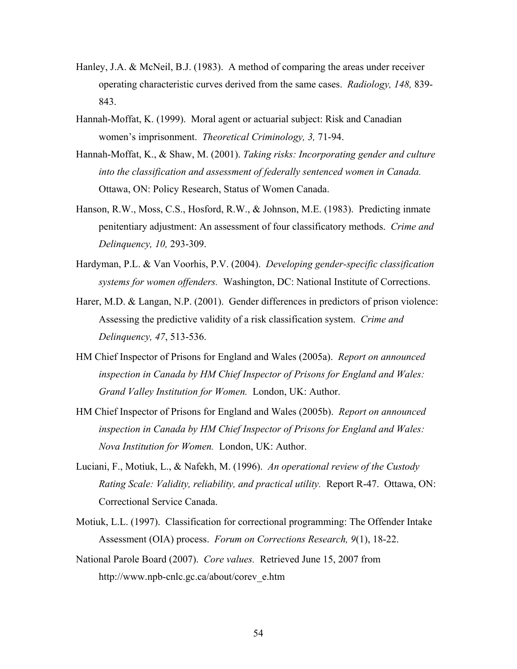- Hanley, J.A. & McNeil, B.J. (1983). A method of comparing the areas under receiver operating characteristic curves derived from the same cases. *Radiology, 148,* 839- 843.
- Hannah-Moffat, K. (1999). Moral agent or actuarial subject: Risk and Canadian women's imprisonment. *Theoretical Criminology, 3,* 71-94.
- Hannah-Moffat, K., & Shaw, M. (2001). *Taking risks: Incorporating gender and culture into the classification and assessment of federally sentenced women in Canada.*  Ottawa, ON: Policy Research, Status of Women Canada.
- Hanson, R.W., Moss, C.S., Hosford, R.W., & Johnson, M.E. (1983). Predicting inmate penitentiary adjustment: An assessment of four classificatory methods. *Crime and Delinquency, 10,* 293-309.
- Hardyman, P.L. & Van Voorhis, P.V. (2004). *Developing gender-specific classification systems for women offenders.* Washington, DC: National Institute of Corrections.
- Harer, M.D. & Langan, N.P. (2001). Gender differences in predictors of prison violence: Assessing the predictive validity of a risk classification system. *Crime and Delinquency, 47*, 513-536.
- HM Chief Inspector of Prisons for England and Wales (2005a). *Report on announced inspection in Canada by HM Chief Inspector of Prisons for England and Wales: Grand Valley Institution for Women.* London, UK: Author.
- HM Chief Inspector of Prisons for England and Wales (2005b). *Report on announced inspection in Canada by HM Chief Inspector of Prisons for England and Wales: Nova Institution for Women.* London, UK: Author.
- Luciani, F., Motiuk, L., & Nafekh, M. (1996). *An operational review of the Custody Rating Scale: Validity, reliability, and practical utility.* Report R-47. Ottawa, ON: Correctional Service Canada.
- Motiuk, L.L. (1997). Classification for correctional programming: The Offender Intake Assessment (OIA) process. *Forum on Corrections Research, 9*(1), 18-22.
- National Parole Board (2007). *Core values.* Retrieved June 15, 2007 from http://www.npb-cnlc.gc.ca/about/corev\_e.htm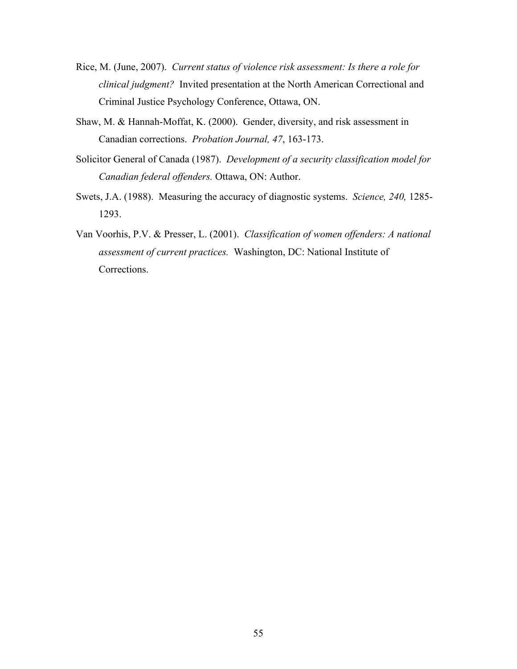- Rice, M. (June, 2007). *Current status of violence risk assessment: Is there a role for clinical judgment?* Invited presentation at the North American Correctional and Criminal Justice Psychology Conference, Ottawa, ON.
- Shaw, M. & Hannah-Moffat, K. (2000). Gender, diversity, and risk assessment in Canadian corrections. *Probation Journal, 47*, 163-173.
- Solicitor General of Canada (1987). *Development of a security classification model for Canadian federal offenders.* Ottawa, ON: Author.
- Swets, J.A. (1988). Measuring the accuracy of diagnostic systems. *Science, 240,* 1285- 1293.
- Van Voorhis, P.V. & Presser, L. (2001). *Classification of women offenders: A national assessment of current practices.* Washington, DC: National Institute of Corrections.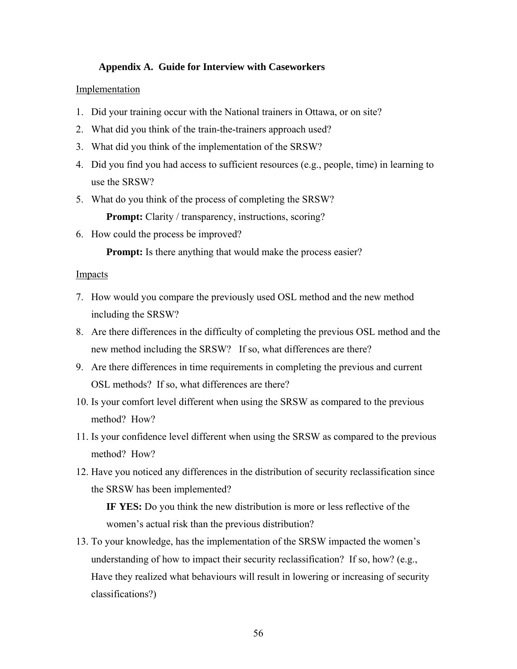## **Appendix A. Guide for Interview with Caseworkers**

#### <span id="page-65-0"></span>Implementation

- 1. Did your training occur with the National trainers in Ottawa, or on site?
- 2. What did you think of the train-the-trainers approach used?
- 3. What did you think of the implementation of the SRSW?
- 4. Did you find you had access to sufficient resources (e.g., people, time) in learning to use the SRSW?
- 5. What do you think of the process of completing the SRSW?

**Prompt:** Clarity / transparency, instructions, scoring?

6. How could the process be improved?

**Prompt:** Is there anything that would make the process easier?

## Impacts

- 7. How would you compare the previously used OSL method and the new method including the SRSW?
- 8. Are there differences in the difficulty of completing the previous OSL method and the new method including the SRSW? If so, what differences are there?
- 9. Are there differences in time requirements in completing the previous and current OSL methods? If so, what differences are there?
- 10. Is your comfort level different when using the SRSW as compared to the previous method? How?
- 11. Is your confidence level different when using the SRSW as compared to the previous method? How?
- 12. Have you noticed any differences in the distribution of security reclassification since the SRSW has been implemented?

**IF YES:** Do you think the new distribution is more or less reflective of the women's actual risk than the previous distribution?

13. To your knowledge, has the implementation of the SRSW impacted the women's understanding of how to impact their security reclassification? If so, how? (e.g., Have they realized what behaviours will result in lowering or increasing of security classifications?)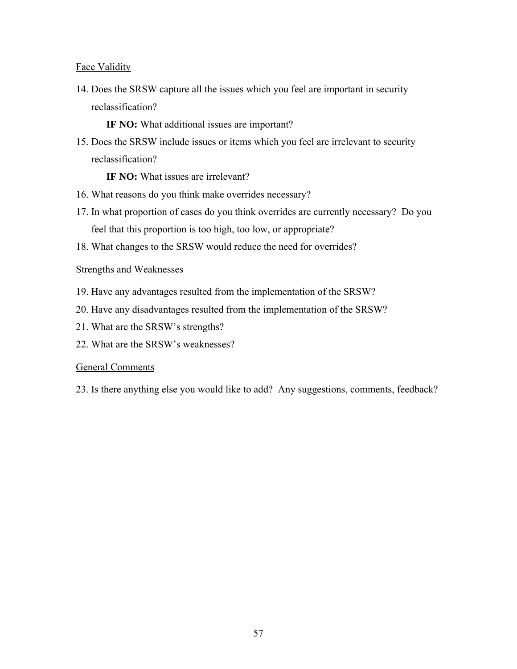# Face Validity

14. Does the SRSW capture all the issues which you feel are important in security reclassification?

**IF NO:** What additional issues are important?

15. Does the SRSW include issues or items which you feel are irrelevant to security reclassification?

**IF NO:** What issues are irrelevant?

- 16. What reasons do you think make overrides necessary?
- 17. In what proportion of cases do you think overrides are currently necessary? Do you feel that this proportion is too high, too low, or appropriate?
- 18. What changes to the SRSW would reduce the need for overrides?

## Strengths and Weaknesses

- 19. Have any advantages resulted from the implementation of the SRSW?
- 20. Have any disadvantages resulted from the implementation of the SRSW?
- 21. What are the SRSW's strengths?
- 22. What are the SRSW's weaknesses?

## General Comments

23. Is there anything else you would like to add? Any suggestions, comments, feedback?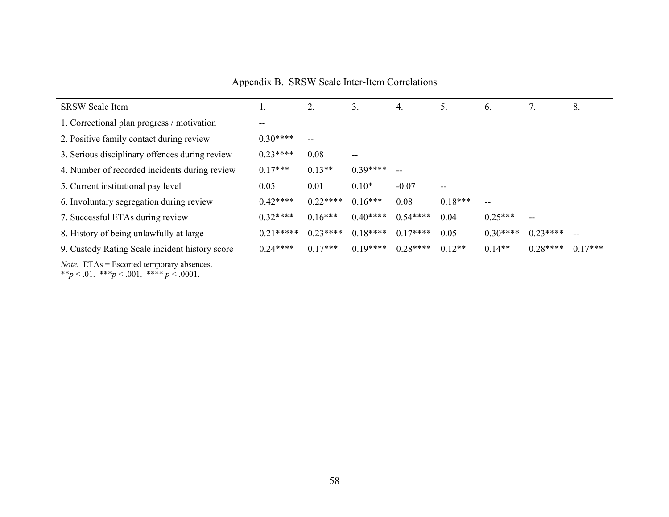Appendix B. SRSW Scale Inter-Item Correlations

| <b>SRSW Scale Item</b>                         | 1.          | 2.                       | 3.        | 4.            | 5.                | 6.        | 7.        | 8.        |
|------------------------------------------------|-------------|--------------------------|-----------|---------------|-------------------|-----------|-----------|-----------|
| 1. Correctional plan progress / motivation     | --          |                          |           |               |                   |           |           |           |
| 2. Positive family contact during review       | $0.30***$   | $\overline{\phantom{m}}$ |           |               |                   |           |           |           |
| 3. Serious disciplinary offences during review | $0.23***$   | 0.08                     | $-$       |               |                   |           |           |           |
| 4. Number of recorded incidents during review  | $0.17***$   | $0.13**$                 | $0.39***$ | $\sim$ $\sim$ |                   |           |           |           |
| 5. Current institutional pay level             | 0.05        | 0.01                     | $0.10*$   | $-0.07$       | $\qquad \qquad -$ |           |           |           |
| 6. Involuntary segregation during review       | $0.42***$   | $0.22***$                | $0.16***$ | 0.08          | $0.18***$         | --        |           |           |
| 7. Successful ETAs during review               | $0.32***$   | $0.16***$                | $0.40***$ | $0.54***$     | 0.04              | $0.25***$ | --        |           |
| 8. History of being unlawfully at large        | $0.21*****$ | $0.23***$                | $0.18***$ | $0.17***$     | 0.05              | $0.30***$ | $0.23***$ |           |
| 9. Custody Rating Scale incident history score | $0.24***$   | $0.17***$                | $0.19***$ | $0.28***$     | $0.12**$          | $0.14**$  | $0.28***$ | $0.17***$ |

*Note.* ETAs = Escorted temporary absences.

<span id="page-67-0"></span>\*\**p* < .01. \*\*\**p* < .001. \*\*\*\* *p* < .0001.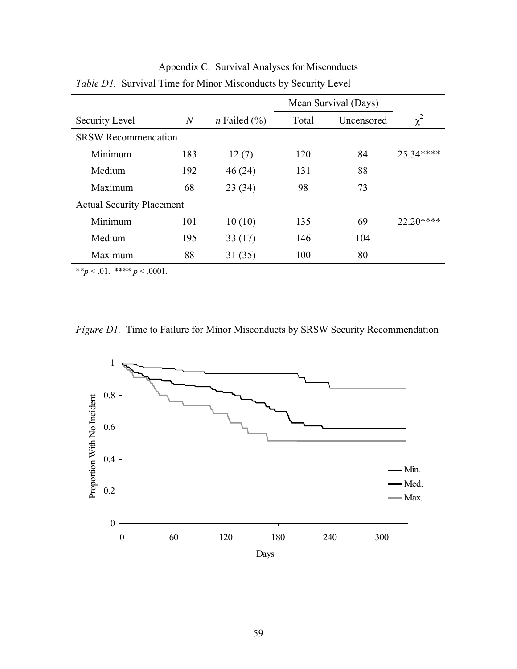|                                  |                | Mean Survival (Days)   |       |            |           |  |  |
|----------------------------------|----------------|------------------------|-------|------------|-----------|--|--|
| Security Level                   | $\overline{N}$ | <i>n</i> Failed $(\%)$ | Total | Uncensored | $\chi^2$  |  |  |
| <b>SRSW Recommendation</b>       |                |                        |       |            |           |  |  |
| Minimum                          | 183            | 12(7)                  | 120   | 84         | 25.34**** |  |  |
| Medium                           | 192            | 46(24)                 | 131   | 88         |           |  |  |
| Maximum                          | 68             | 23(34)                 | 98    | 73         |           |  |  |
| <b>Actual Security Placement</b> |                |                        |       |            |           |  |  |
| Minimum                          | 101            | 10(10)                 | 135   | 69         |           |  |  |
| Medium                           | 195            | 33(17)                 | 146   | 104        |           |  |  |
| Maximum                          | 88             | 31(35)                 | 100   | 80         |           |  |  |
|                                  |                |                        |       |            |           |  |  |

<span id="page-68-0"></span>Appendix C. Survival Analyses for Misconducts *Table D1.* Survival Time for Minor Misconducts by Security Level

\*\**p* < .01. \*\*\*\* *p* < .0001.

*Figure D1.* Time to Failure for Minor Misconducts by SRSW Security Recommendation